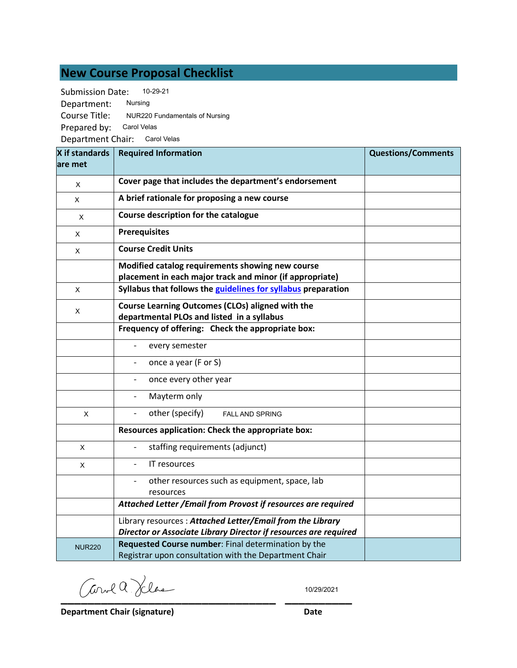## **New Course Proposal Checklist**

| <b>Submission Date:</b> | 10-29-21                       |
|-------------------------|--------------------------------|
| Department:             | Nursing                        |
| Course Title:           | NUR220 Fundamentals of Nursing |
| Prepared by:            | Carol Velas                    |
| Department Chair:       | Carol Velas                    |

| X if standards<br>lare met | <b>Required Information</b>                                                                                                   | <b>Questions/Comments</b> |
|----------------------------|-------------------------------------------------------------------------------------------------------------------------------|---------------------------|
| X                          | Cover page that includes the department's endorsement                                                                         |                           |
| Χ                          | A brief rationale for proposing a new course                                                                                  |                           |
| X                          | Course description for the catalogue                                                                                          |                           |
| X                          | <b>Prerequisites</b>                                                                                                          |                           |
| X                          | <b>Course Credit Units</b>                                                                                                    |                           |
|                            | Modified catalog requirements showing new course<br>placement in each major track and minor (if appropriate)                  |                           |
| X                          | Syllabus that follows the guidelines for syllabus preparation                                                                 |                           |
| X                          | Course Learning Outcomes (CLOs) aligned with the<br>departmental PLOs and listed in a syllabus                                |                           |
|                            | Frequency of offering: Check the appropriate box:                                                                             |                           |
|                            | every semester                                                                                                                |                           |
|                            | once a year (F or S)                                                                                                          |                           |
|                            | once every other year                                                                                                         |                           |
|                            | Mayterm only                                                                                                                  |                           |
| X                          | other (specify)<br><b>FALL AND SPRING</b>                                                                                     |                           |
|                            | Resources application: Check the appropriate box:                                                                             |                           |
| X                          | staffing requirements (adjunct)                                                                                               |                           |
| X                          | IT resources                                                                                                                  |                           |
|                            | other resources such as equipment, space, lab<br>resources                                                                    |                           |
|                            | Attached Letter / Email from Provost if resources are required                                                                |                           |
|                            | Library resources: Attached Letter/Email from the Library<br>Director or Associate Library Director if resources are required |                           |
| <b>NUR220</b>              | Requested Course number: Final determination by the<br>Registrar upon consultation with the Department Chair                  |                           |

 $CovlQ$  Klas

10/29/2021

**Department Chair (signature) Date**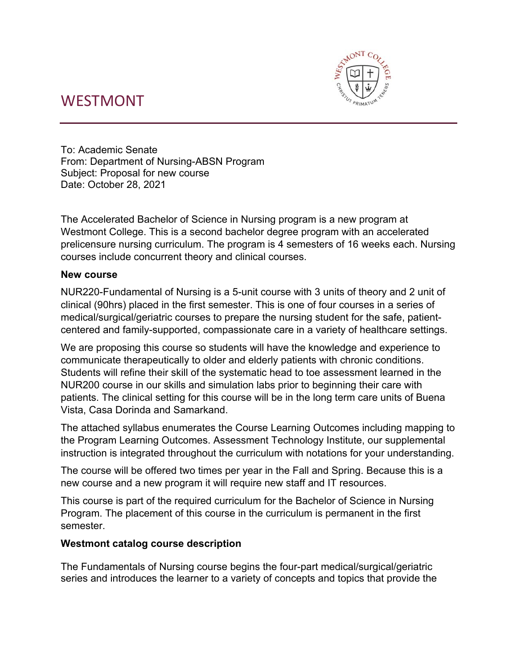## WESTMONT



To: Academic Senate From: Department of Nursing-ABSN Program Subject: Proposal for new course Date: October 28, 2021

The Accelerated Bachelor of Science in Nursing program is a new program at Westmont College. This is a second bachelor degree program with an accelerated prelicensure nursing curriculum. The program is 4 semesters of 16 weeks each. Nursing courses include concurrent theory and clinical courses.

#### **New course**

NUR220-Fundamental of Nursing is a 5-unit course with 3 units of theory and 2 unit of clinical (90hrs) placed in the first semester. This is one of four courses in a series of medical/surgical/geriatric courses to prepare the nursing student for the safe, patientcentered and family-supported, compassionate care in a variety of healthcare settings.

We are proposing this course so students will have the knowledge and experience to communicate therapeutically to older and elderly patients with chronic conditions. Students will refine their skill of the systematic head to toe assessment learned in the NUR200 course in our skills and simulation labs prior to beginning their care with patients. The clinical setting for this course will be in the long term care units of Buena Vista, Casa Dorinda and Samarkand.

The attached syllabus enumerates the Course Learning Outcomes including mapping to the Program Learning Outcomes. Assessment Technology Institute, our supplemental instruction is integrated throughout the curriculum with notations for your understanding.

The course will be offered two times per year in the Fall and Spring. Because this is a new course and a new program it will require new staff and IT resources.

This course is part of the required curriculum for the Bachelor of Science in Nursing Program. The placement of this course in the curriculum is permanent in the first semester.

#### **Westmont catalog course description**

The Fundamentals of Nursing course begins the four-part medical/surgical/geriatric series and introduces the learner to a variety of concepts and topics that provide the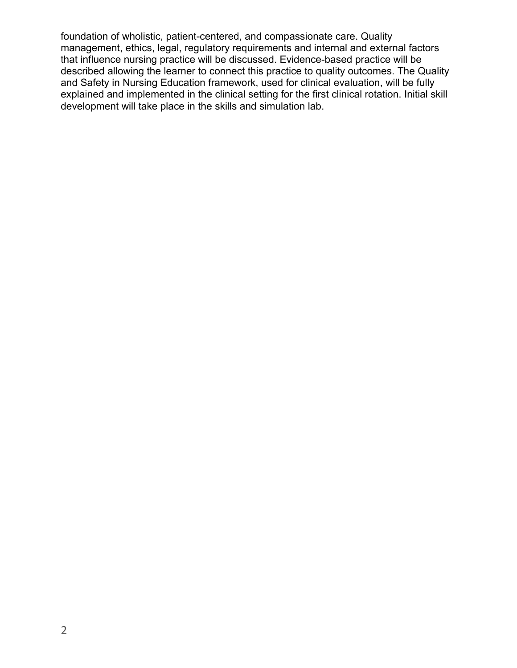foundation of wholistic, patient-centered, and compassionate care. Quality management, ethics, legal, regulatory requirements and internal and external factors that influence nursing practice will be discussed. Evidence-based practice will be described allowing the learner to connect this practice to quality outcomes. The Quality and Safety in Nursing Education framework, used for clinical evaluation, will be fully explained and implemented in the clinical setting for the first clinical rotation. Initial skill development will take place in the skills and simulation lab.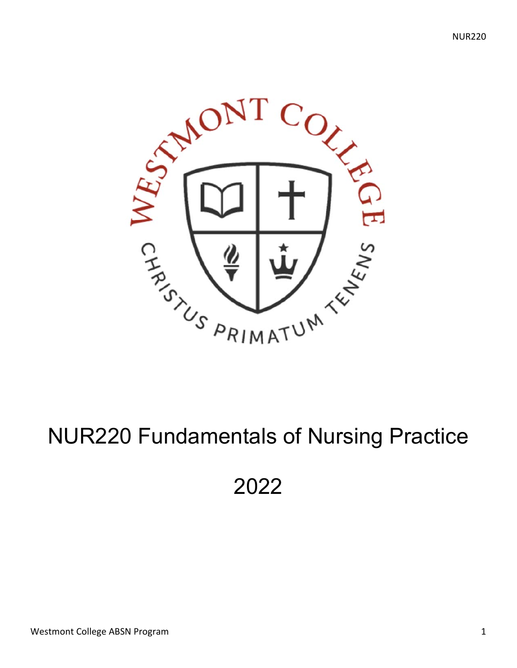

# NUR220 Fundamentals of Nursing Practice

## 2022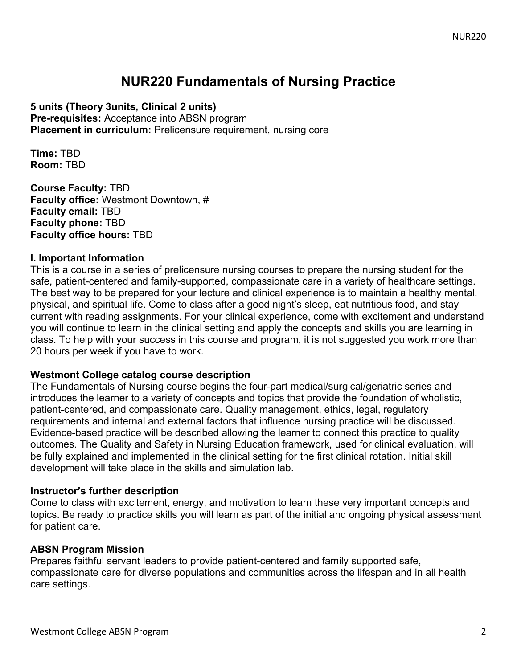## **NUR220 Fundamentals of Nursing Practice**

**5 units (Theory 3units, Clinical 2 units)** 

**Pre-requisites:** Acceptance into ABSN program **Placement in curriculum:** Prelicensure requirement, nursing core

**Time:** TBD **Room:** TBD

**Course Faculty:** TBD **Faculty office:** Westmont Downtown, # **Faculty email:** TBD **Faculty phone:** TBD **Faculty office hours:** TBD

#### **I. Important Information**

This is a course in a series of prelicensure nursing courses to prepare the nursing student for the safe, patient-centered and family-supported, compassionate care in a variety of healthcare settings. The best way to be prepared for your lecture and clinical experience is to maintain a healthy mental, physical, and spiritual life. Come to class after a good night's sleep, eat nutritious food, and stay current with reading assignments. For your clinical experience, come with excitement and understand you will continue to learn in the clinical setting and apply the concepts and skills you are learning in class. To help with your success in this course and program, it is not suggested you work more than 20 hours per week if you have to work.

#### **Westmont College catalog course description**

The Fundamentals of Nursing course begins the four-part medical/surgical/geriatric series and introduces the learner to a variety of concepts and topics that provide the foundation of wholistic, patient-centered, and compassionate care. Quality management, ethics, legal, regulatory requirements and internal and external factors that influence nursing practice will be discussed. Evidence-based practice will be described allowing the learner to connect this practice to quality outcomes. The Quality and Safety in Nursing Education framework, used for clinical evaluation, will be fully explained and implemented in the clinical setting for the first clinical rotation. Initial skill development will take place in the skills and simulation lab.

#### **Instructor's further description**

Come to class with excitement, energy, and motivation to learn these very important concepts and topics. Be ready to practice skills you will learn as part of the initial and ongoing physical assessment for patient care.

#### **ABSN Program Mission**

Prepares faithful servant leaders to provide patient-centered and family supported safe, compassionate care for diverse populations and communities across the lifespan and in all health care settings.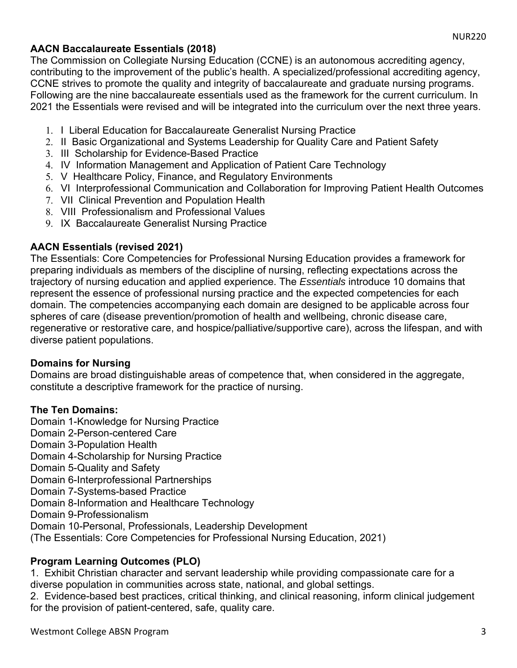#### **AACN Baccalaureate Essentials (2018)**

The Commission on Collegiate Nursing Education (CCNE) is an autonomous accrediting agency, contributing to the improvement of the public's health. A specialized/professional accrediting agency, CCNE strives to promote the quality and integrity of baccalaureate and graduate nursing programs. Following are the nine baccalaureate essentials used as the framework for the current curriculum. In 2021 the Essentials were revised and will be integrated into the curriculum over the next three years.

- 1. I Liberal Education for Baccalaureate Generalist Nursing Practice
- 2. II Basic Organizational and Systems Leadership for Quality Care and Patient Safety
- 3. III Scholarship for Evidence-Based Practice
- 4. IV Information Management and Application of Patient Care Technology
- 5. V Healthcare Policy, Finance, and Regulatory Environments
- 6. VI Interprofessional Communication and Collaboration for Improving Patient Health Outcomes
- 7. VII Clinical Prevention and Population Health
- 8. VIII Professionalism and Professional Values
- 9. IX Baccalaureate Generalist Nursing Practice

#### **AACN Essentials (revised 2021)**

The Essentials: Core Competencies for Professional Nursing Education provides a framework for preparing individuals as members of the discipline of nursing, reflecting expectations across the trajectory of nursing education and applied experience. The *Essentials* introduce 10 domains that represent the essence of professional nursing practice and the expected competencies for each domain. The competencies accompanying each domain are designed to be applicable across four spheres of care (disease prevention/promotion of health and wellbeing, chronic disease care, regenerative or restorative care, and hospice/palliative/supportive care), across the lifespan, and with diverse patient populations.

#### **Domains for Nursing**

Domains are broad distinguishable areas of competence that, when considered in the aggregate, constitute a descriptive framework for the practice of nursing.

#### **The Ten Domains:**

Domain 1-Knowledge for Nursing Practice Domain 2-Person-centered Care Domain 3-Population Health Domain 4-Scholarship for Nursing Practice Domain 5-Quality and Safety Domain 6-Interprofessional Partnerships Domain 7-Systems-based Practice Domain 8-Information and Healthcare Technology Domain 9-Professionalism Domain 10-Personal, Professionals, Leadership Development (The Essentials: Core Competencies for Professional Nursing Education, 2021)

#### **Program Learning Outcomes (PLO)**

1. Exhibit Christian character and servant leadership while providing compassionate care for a diverse population in communities across state, national, and global settings.

2. Evidence-based best practices, critical thinking, and clinical reasoning, inform clinical judgement for the provision of patient-centered, safe, quality care.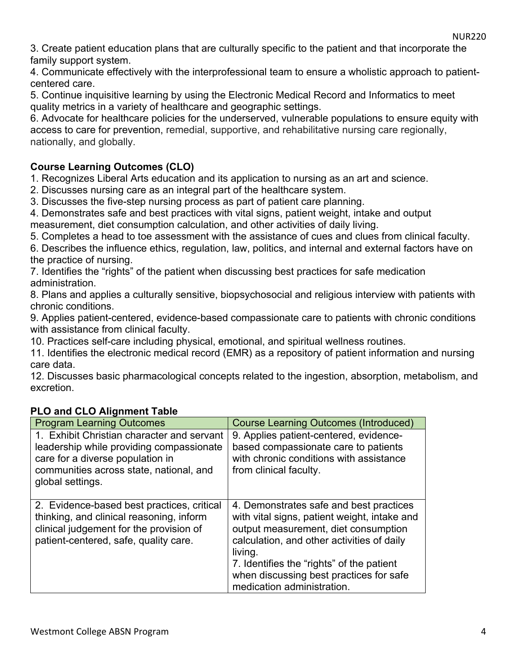3. Create patient education plans that are culturally specific to the patient and that incorporate the family support system.

4. Communicate effectively with the interprofessional team to ensure a wholistic approach to patientcentered care.

5. Continue inquisitive learning by using the Electronic Medical Record and Informatics to meet quality metrics in a variety of healthcare and geographic settings.

6. Advocate for healthcare policies for the underserved, vulnerable populations to ensure equity with access to care for prevention, remedial, supportive, and rehabilitative nursing care regionally, nationally, and globally.

#### **Course Learning Outcomes (CLO)**

1. Recognizes Liberal Arts education and its application to nursing as an art and science.

2. Discusses nursing care as an integral part of the healthcare system.

3. Discusses the five-step nursing process as part of patient care planning.

4. Demonstrates safe and best practices with vital signs, patient weight, intake and output measurement, diet consumption calculation, and other activities of daily living.

5. Completes a head to toe assessment with the assistance of cues and clues from clinical faculty.

6. Describes the influence ethics, regulation, law, politics, and internal and external factors have on the practice of nursing.

7. Identifies the "rights" of the patient when discussing best practices for safe medication administration.

8. Plans and applies a culturally sensitive, biopsychosocial and religious interview with patients with chronic conditions.

9. Applies patient-centered, evidence-based compassionate care to patients with chronic conditions with assistance from clinical faculty.

10. Practices self-care including physical, emotional, and spiritual wellness routines.

11. Identifies the electronic medical record (EMR) as a repository of patient information and nursing care data.

12. Discusses basic pharmacological concepts related to the ingestion, absorption, metabolism, and excretion.

| <b>Program Learning Outcomes</b>                                                                                                                                                          | <b>Course Learning Outcomes (Introduced)</b>                                                                                                                                                                                                                                                                   |
|-------------------------------------------------------------------------------------------------------------------------------------------------------------------------------------------|----------------------------------------------------------------------------------------------------------------------------------------------------------------------------------------------------------------------------------------------------------------------------------------------------------------|
| 1. Exhibit Christian character and servant<br>leadership while providing compassionate<br>care for a diverse population in<br>communities across state, national, and<br>global settings. | 9. Applies patient-centered, evidence-<br>based compassionate care to patients<br>with chronic conditions with assistance<br>from clinical faculty.                                                                                                                                                            |
| 2. Evidence-based best practices, critical<br>thinking, and clinical reasoning, inform<br>clinical judgement for the provision of<br>patient-centered, safe, quality care.                | 4. Demonstrates safe and best practices<br>with vital signs, patient weight, intake and<br>output measurement, diet consumption<br>calculation, and other activities of daily<br>living.<br>7. Identifies the "rights" of the patient<br>when discussing best practices for safe<br>medication administration. |

#### **PLO and CLO Alignment Table**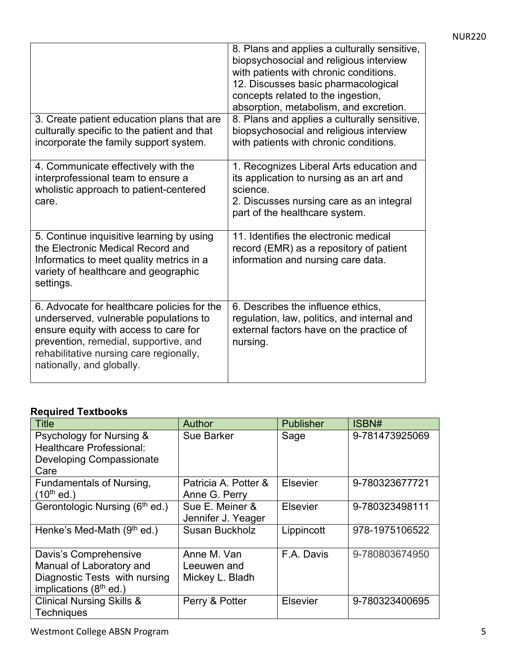| 3. Create patient education plans that are<br>culturally specific to the patient and that<br>incorporate the family support system.                                                                                                             | 8. Plans and applies a culturally sensitive,<br>biopsychosocial and religious interview<br>with patients with chronic conditions.<br>12. Discusses basic pharmacological<br>concepts related to the ingestion,<br>absorption, metabolism, and excretion.<br>8. Plans and applies a culturally sensitive,<br>biopsychosocial and religious interview<br>with patients with chronic conditions. |
|-------------------------------------------------------------------------------------------------------------------------------------------------------------------------------------------------------------------------------------------------|-----------------------------------------------------------------------------------------------------------------------------------------------------------------------------------------------------------------------------------------------------------------------------------------------------------------------------------------------------------------------------------------------|
| 4. Communicate effectively with the<br>interprofessional team to ensure a<br>wholistic approach to patient-centered<br>care.                                                                                                                    | 1. Recognizes Liberal Arts education and<br>its application to nursing as an art and<br>science.<br>2. Discusses nursing care as an integral<br>part of the healthcare system.                                                                                                                                                                                                                |
| 5. Continue inquisitive learning by using<br>the Electronic Medical Record and<br>Informatics to meet quality metrics in a<br>variety of healthcare and geographic<br>settings.                                                                 | 11. Identifies the electronic medical<br>record (EMR) as a repository of patient<br>information and nursing care data.                                                                                                                                                                                                                                                                        |
| 6. Advocate for healthcare policies for the<br>underserved, vulnerable populations to<br>ensure equity with access to care for<br>prevention, remedial, supportive, and<br>rehabilitative nursing care regionally,<br>nationally, and globally. | 6. Describes the influence ethics,<br>regulation, law, politics, and internal and<br>external factors have on the practice of<br>nursing.                                                                                                                                                                                                                                                     |

#### **Required Textbooks**

| Title                                      | Author               | <b>Publisher</b> | ISBN#          |
|--------------------------------------------|----------------------|------------------|----------------|
| Psychology for Nursing &                   | <b>Sue Barker</b>    | Sage             | 9-781473925069 |
| <b>Healthcare Professional:</b>            |                      |                  |                |
| <b>Developing Compassionate</b>            |                      |                  |                |
| Care                                       |                      |                  |                |
| Fundamentals of Nursing,                   | Patricia A. Potter & | <b>Elsevier</b>  | 9-780323677721 |
| $(10^{th}$ ed.)                            | Anne G. Perry        |                  |                |
| Gerontologic Nursing (6 <sup>th</sup> ed.) | Sue E. Meiner &      | Elsevier         | 9-780323498111 |
|                                            | Jennifer J. Yeager   |                  |                |
| Henke's Med-Math $(9th$ ed.)               | Susan Buckholz       | Lippincott       | 978-1975106522 |
|                                            |                      |                  |                |
| Davis's Comprehensive                      | Anne M. Van          | F.A. Davis       | 9-780803674950 |
| Manual of Laboratory and                   | Leeuwen and          |                  |                |
| Diagnostic Tests with nursing              | Mickey L. Bladh      |                  |                |
| implications $(8th$ ed.)                   |                      |                  |                |
| <b>Clinical Nursing Skills &amp;</b>       | Perry & Potter       | <b>Elsevier</b>  | 9-780323400695 |
| <b>Techniques</b>                          |                      |                  |                |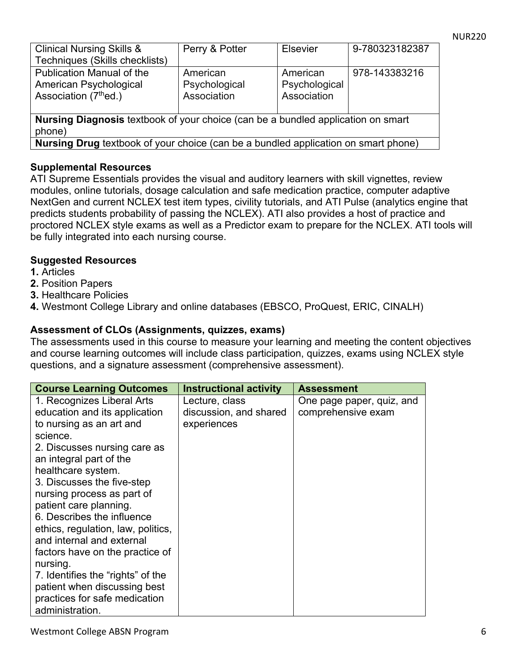| <b>Clinical Nursing Skills &amp;</b>                                             | Perry & Potter                                                                                                  | <b>Elsevier</b> | 9-780323182387 |
|----------------------------------------------------------------------------------|-----------------------------------------------------------------------------------------------------------------|-----------------|----------------|
| Techniques (Skills checklists)                                                   |                                                                                                                 |                 |                |
| <b>Publication Manual of the</b>                                                 | American                                                                                                        | American        | 978-143383216  |
| American Psychological                                                           | Psychological                                                                                                   | Psychological   |                |
| Association (7 <sup>th</sup> ed.)                                                | Association                                                                                                     | Association     |                |
|                                                                                  |                                                                                                                 |                 |                |
| Nursing Diagnosis textbook of your choice (can be a bundled application on smart |                                                                                                                 |                 |                |
| phone)                                                                           |                                                                                                                 |                 |                |
|                                                                                  | the contract of the contract of the contract of the contract of the contract of the contract of the contract of |                 |                |

**Nursing Drug** textbook of your choice (can be a bundled application on smart phone)

#### **Supplemental Resources**

ATI Supreme Essentials provides the visual and auditory learners with skill vignettes, review modules, online tutorials, dosage calculation and safe medication practice, computer adaptive NextGen and current NCLEX test item types, civility tutorials, and ATI Pulse (analytics engine that predicts students probability of passing the NCLEX). ATI also provides a host of practice and proctored NCLEX style exams as well as a Predictor exam to prepare for the NCLEX. ATI tools will be fully integrated into each nursing course.

#### **Suggested Resources**

- **1.** Articles
- **2.** Position Papers
- **3.** Healthcare Policies
- **4.** Westmont College Library and online databases (EBSCO, ProQuest, ERIC, CINALH)

#### **Assessment of CLOs (Assignments, quizzes, exams)**

The assessments used in this course to measure your learning and meeting the content objectives and course learning outcomes will include class participation, quizzes, exams using NCLEX style questions, and a signature assessment (comprehensive assessment).

| <b>Course Learning Outcomes</b>    | <b>Instructional activity</b> | <b>Assessment</b>         |
|------------------------------------|-------------------------------|---------------------------|
| 1. Recognizes Liberal Arts         | Lecture, class                | One page paper, quiz, and |
| education and its application      | discussion, and shared        | comprehensive exam        |
| to nursing as an art and           | experiences                   |                           |
| science.                           |                               |                           |
| 2. Discusses nursing care as       |                               |                           |
| an integral part of the            |                               |                           |
| healthcare system.                 |                               |                           |
| 3. Discusses the five-step         |                               |                           |
| nursing process as part of         |                               |                           |
| patient care planning.             |                               |                           |
| 6. Describes the influence         |                               |                           |
| ethics, regulation, law, politics, |                               |                           |
| and internal and external          |                               |                           |
| factors have on the practice of    |                               |                           |
| nursing.                           |                               |                           |
| 7. Identifies the "rights" of the  |                               |                           |
| patient when discussing best       |                               |                           |
| practices for safe medication      |                               |                           |
| administration.                    |                               |                           |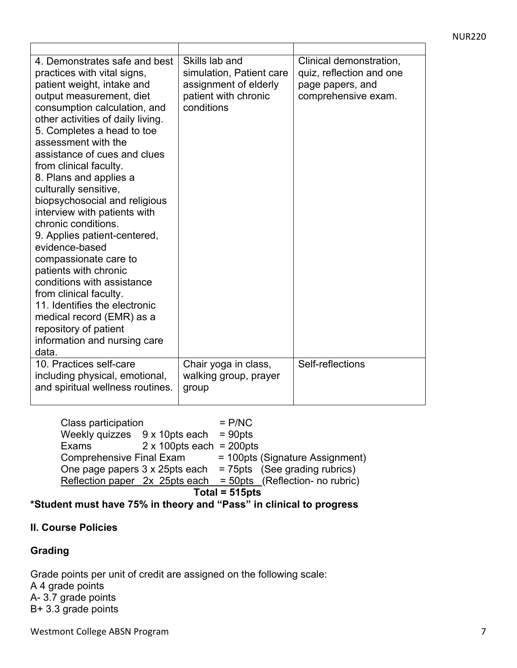| 4. Demonstrates safe and best<br>practices with vital signs,<br>patient weight, intake and<br>output measurement, diet<br>consumption calculation, and<br>other activities of daily living.<br>5. Completes a head to toe<br>assessment with the<br>assistance of cues and clues<br>from clinical faculty.<br>8. Plans and applies a<br>culturally sensitive,<br>biopsychosocial and religious<br>interview with patients with<br>chronic conditions.<br>9. Applies patient-centered,<br>evidence-based<br>compassionate care to<br>patients with chronic<br>conditions with assistance<br>from clinical faculty.<br>11. Identifies the electronic<br>medical record (EMR) as a<br>repository of patient<br>information and nursing care<br>data. | Skills lab and<br>simulation, Patient care<br>assignment of elderly<br>patient with chronic<br>conditions | Clinical demonstration,<br>quiz, reflection and one<br>page papers, and<br>comprehensive exam. |
|---------------------------------------------------------------------------------------------------------------------------------------------------------------------------------------------------------------------------------------------------------------------------------------------------------------------------------------------------------------------------------------------------------------------------------------------------------------------------------------------------------------------------------------------------------------------------------------------------------------------------------------------------------------------------------------------------------------------------------------------------|-----------------------------------------------------------------------------------------------------------|------------------------------------------------------------------------------------------------|
| 10. Practices self-care<br>including physical, emotional,<br>and spiritual wellness routines.                                                                                                                                                                                                                                                                                                                                                                                                                                                                                                                                                                                                                                                     | Chair yoga in class,<br>walking group, prayer<br>group                                                    | Self-reflections                                                                               |

Class participation = P/NC Weekly quizzes  $9 \times 10$ pts each = 90pts Exams 2 x 100pts each = 200pts<br>Comprehensive Final Exam = 100pts = 100pts (Signature Assignment) One page papers  $3 \times 25$ pts each = 75pts (See grading rubrics)  $Reflection\,\overline{\text{paper}}\,2x\,\overline{\text{25} \text{pts each}} = 50 \text{pts}$  (Reflection- no rubric)

**Total = 515pts** 

**\*Student must have 75% in theory and "Pass" in clinical to progress**

#### **II. Course Policies**

#### **Grading**

Grade points per unit of credit are assigned on the following scale: A 4 grade points A- 3.7 grade points B+ 3.3 grade points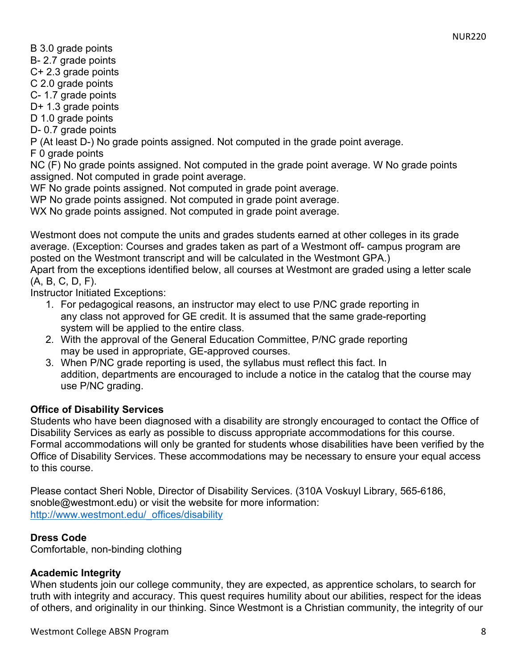NUR220

B 3.0 grade points

B- 2.7 grade points

C+ 2.3 grade points

C 2.0 grade points

C- 1.7 grade points

D+ 1.3 grade points

D 1.0 grade points

D- 0.7 grade points

P (At least D-) No grade points assigned. Not computed in the grade point average.

F 0 grade points

NC (F) No grade points assigned. Not computed in the grade point average. W No grade points assigned. Not computed in grade point average.

WF No grade points assigned. Not computed in grade point average.

WP No grade points assigned. Not computed in grade point average.

WX No grade points assigned. Not computed in grade point average.

Westmont does not compute the units and grades students earned at other colleges in its grade average. (Exception: Courses and grades taken as part of a Westmont off- campus program are posted on the Westmont transcript and will be calculated in the Westmont GPA.)

Apart from the exceptions identified below, all courses at Westmont are graded using a letter scale (A, B, C, D, F).

Instructor Initiated Exceptions:

- 1. For pedagogical reasons, an instructor may elect to use P/NC grade reporting in any class not approved for GE credit. It is assumed that the same grade-reporting system will be applied to the entire class.
- 2. With the approval of the General Education Committee, P/NC grade reporting may be used in appropriate, GE-approved courses.
- 3. When P/NC grade reporting is used, the syllabus must reflect this fact. In addition, departments are encouraged to include a notice in the catalog that the course may use P/NC grading.

#### **Office of Disability Services**

Students who have been diagnosed with a disability are strongly encouraged to contact the Office of Disability Services as early as possible to discuss appropriate accommodations for this course. Formal accommodations will only be granted for students whose disabilities have been verified by the Office of Disability Services. These accommodations may be necessary to ensure your equal access to this course.

Please contact Sheri Noble, Director of Disability Services. (310A Voskuyl Library, 565-6186, snoble@westmont.edu) or visit the website for more information: http://www.westmont.edu/\_offices/disability

#### **Dress Code**

Comfortable, non-binding clothing

#### **Academic Integrity**

When students join our college community, they are expected, as apprentice scholars, to search for truth with integrity and accuracy. This quest requires humility about our abilities, respect for the ideas of others, and originality in our thinking. Since Westmont is a Christian community, the integrity of our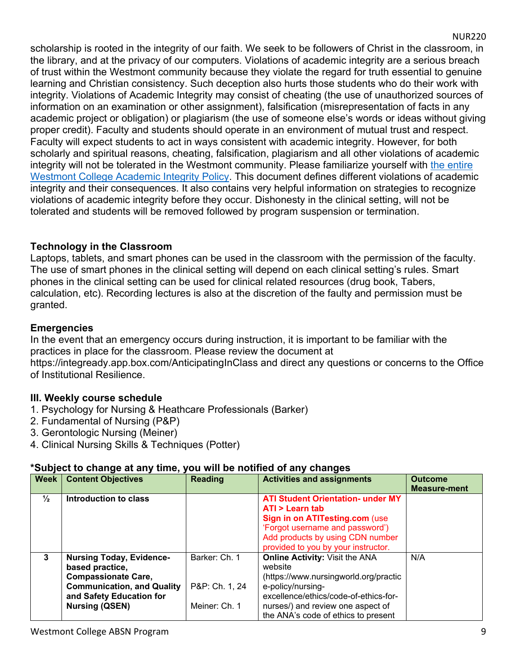scholarship is rooted in the integrity of our faith. We seek to be followers of Christ in the classroom, in the library, and at the privacy of our computers. Violations of academic integrity are a serious breach of trust within the Westmont community because they violate the regard for truth essential to genuine learning and Christian consistency. Such deception also hurts those students who do their work with integrity. Violations of Academic Integrity may consist of cheating (the use of unauthorized sources of information on an examination or other assignment), falsification (misrepresentation of facts in any academic project or obligation) or plagiarism (the use of someone else's words or ideas without giving proper credit). Faculty and students should operate in an environment of mutual trust and respect. Faculty will expect students to act in ways consistent with academic integrity. However, for both scholarly and spiritual reasons, cheating, falsification, plagiarism and all other violations of academic integrity will not be tolerated in the Westmont community. Please familiarize yourself with the entire Westmont College Academic Integrity Policy. This document defines different violations of academic integrity and their consequences. It also contains very helpful information on strategies to recognize violations of academic integrity before they occur. Dishonesty in the clinical setting, will not be tolerated and students will be removed followed by program suspension or termination.

#### **Technology in the Classroom**

Laptops, tablets, and smart phones can be used in the classroom with the permission of the faculty. The use of smart phones in the clinical setting will depend on each clinical setting's rules. Smart phones in the clinical setting can be used for clinical related resources (drug book, Tabers, calculation, etc). Recording lectures is also at the discretion of the faulty and permission must be granted.

#### **Emergencies**

In the event that an emergency occurs during instruction, it is important to be familiar with the practices in place for the classroom. Please review the document at https://integready.app.box.com/AnticipatingInClass and direct any questions or concerns to the Office of Institutional Resilience.

#### **III. Weekly course schedule**

- 1. Psychology for Nursing & Heathcare Professionals (Barker)
- 2. Fundamental of Nursing (P&P)
- 3. Gerontologic Nursing (Meiner)
- 4. Clinical Nursing Skills & Techniques (Potter)

#### **\*Subject to change at any time, you will be notified of any changes**

| <b>Week</b>   | <b>Content Objectives</b>                                                                                                                                                  | <b>Reading</b>                                   | <b>Activities and assignments</b>                                                                                                                                                                                                   | <b>Outcome</b><br><b>Measure-ment</b> |
|---------------|----------------------------------------------------------------------------------------------------------------------------------------------------------------------------|--------------------------------------------------|-------------------------------------------------------------------------------------------------------------------------------------------------------------------------------------------------------------------------------------|---------------------------------------|
| $\frac{1}{2}$ | Introduction to class                                                                                                                                                      |                                                  | <b>ATI Student Orientation- under MY</b><br>ATI > Learn tab<br>Sign in on ATITesting.com (use<br>'Forgot username and password')<br>Add products by using CDN number<br>provided to you by your instructor.                         |                                       |
| 3             | <b>Nursing Today, Evidence-</b><br>based practice,<br><b>Compassionate Care,</b><br><b>Communication, and Quality</b><br>and Safety Education for<br><b>Nursing (QSEN)</b> | Barker: Ch. 1<br>P&P: Ch. 1, 24<br>Meiner: Ch. 1 | <b>Online Activity: Visit the ANA</b><br>website<br>(https://www.nursingworld.org/practic<br>e-policy/nursing-<br>excellence/ethics/code-of-ethics-for-<br>nurses/) and review one aspect of<br>the ANA's code of ethics to present | N/A                                   |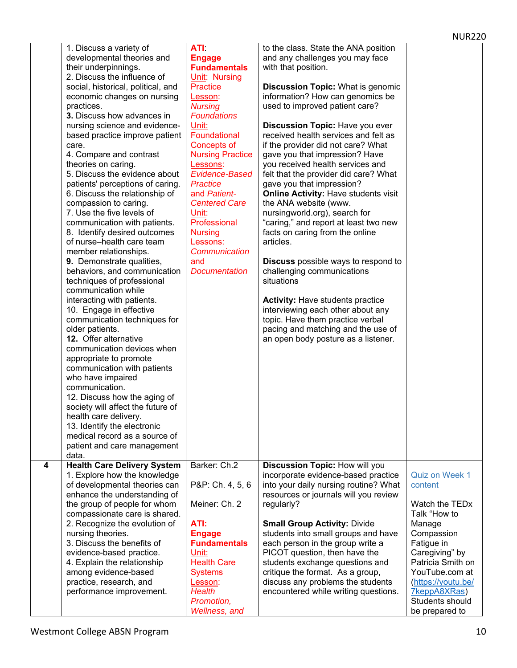|   | 1. Discuss a variety of            | ATI:                    | to the class. State the ANA position        |                            |
|---|------------------------------------|-------------------------|---------------------------------------------|----------------------------|
|   | developmental theories and         | <b>Engage</b>           | and any challenges you may face             |                            |
|   |                                    |                         | with that position.                         |                            |
|   | their underpinnings.               | <b>Fundamentals</b>     |                                             |                            |
|   | 2. Discuss the influence of        | Unit: Nursing           |                                             |                            |
|   | social, historical, political, and | <b>Practice</b>         | <b>Discussion Topic: What is genomic</b>    |                            |
|   | economic changes on nursing        | Lesson:                 | information? How can genomics be            |                            |
|   | practices.                         | <b>Nursing</b>          | used to improved patient care?              |                            |
|   | 3. Discuss how advances in         | <b>Foundations</b>      |                                             |                            |
|   | nursing science and evidence-      | Unit:                   | Discussion Topic: Have you ever             |                            |
|   | based practice improve patient     | Foundational            | received health services and felt as        |                            |
|   | care.                              | Concepts of             | if the provider did not care? What          |                            |
|   | 4. Compare and contrast            | <b>Nursing Practice</b> | gave you that impression? Have              |                            |
|   | theories on caring.                | Lessons:                | you received health services and            |                            |
|   | 5. Discuss the evidence about      | <b>Evidence-Based</b>   | felt that the provider did care? What       |                            |
|   | patients' perceptions of caring.   | <b>Practice</b>         | gave you that impression?                   |                            |
|   | 6. Discuss the relationship of     | and Patient-            | <b>Online Activity: Have students visit</b> |                            |
|   |                                    |                         |                                             |                            |
|   | compassion to caring.              | <b>Centered Care</b>    | the ANA website (www.                       |                            |
|   | 7. Use the five levels of          | Unit:                   | nursingworld.org), search for               |                            |
|   | communication with patients.       | Professional            | "caring," and report at least two new       |                            |
|   | 8. Identify desired outcomes       | <b>Nursing</b>          | facts on caring from the online             |                            |
|   | of nurse-health care team          | Lessons:                | articles.                                   |                            |
|   | member relationships.              | Communication           |                                             |                            |
|   | 9. Demonstrate qualities,          | and                     | <b>Discuss</b> possible ways to respond to  |                            |
|   | behaviors, and communication       | <b>Documentation</b>    | challenging communications                  |                            |
|   | techniques of professional         |                         | situations                                  |                            |
|   | communication while                |                         |                                             |                            |
|   | interacting with patients.         |                         | <b>Activity: Have students practice</b>     |                            |
|   | 10. Engage in effective            |                         | interviewing each other about any           |                            |
|   | communication techniques for       |                         | topic. Have them practice verbal            |                            |
|   | older patients.                    |                         | pacing and matching and the use of          |                            |
|   | 12. Offer alternative              |                         | an open body posture as a listener.         |                            |
|   | communication devices when         |                         |                                             |                            |
|   |                                    |                         |                                             |                            |
|   | appropriate to promote             |                         |                                             |                            |
|   | communication with patients        |                         |                                             |                            |
|   | who have impaired                  |                         |                                             |                            |
|   | communication.                     |                         |                                             |                            |
|   | 12. Discuss how the aging of       |                         |                                             |                            |
|   | society will affect the future of  |                         |                                             |                            |
|   | health care delivery.              |                         |                                             |                            |
|   | 13. Identify the electronic        |                         |                                             |                            |
|   | medical record as a source of      |                         |                                             |                            |
|   | patient and care management        |                         |                                             |                            |
|   | data.                              |                         |                                             |                            |
| 4 | <b>Health Care Delivery System</b> | Barker: Ch.2            | Discussion Topic: How will you              |                            |
|   | 1. Explore how the knowledge       |                         | incorporate evidence-based practice         | Quiz on Week 1             |
|   | of developmental theories can      | P&P: Ch. 4, 5, 6        | into your daily nursing routine? What       | content                    |
|   | enhance the understanding of       |                         | resources or journals will you review       |                            |
|   | the group of people for whom       | Meiner: Ch. 2           | regularly?                                  | Watch the TED <sub>x</sub> |
|   |                                    |                         |                                             | Talk "How to               |
|   | compassionate care is shared.      |                         |                                             |                            |
|   | 2. Recognize the evolution of      | ATI:                    | <b>Small Group Activity: Divide</b>         | Manage                     |
|   | nursing theories.                  | <b>Engage</b>           | students into small groups and have         | Compassion                 |
|   | 3. Discuss the benefits of         | <b>Fundamentals</b>     | each person in the group write a            | Fatigue in                 |
|   | evidence-based practice.           | Unit:                   | PICOT question, then have the               | Caregiving" by             |
|   | 4. Explain the relationship        | <b>Health Care</b>      | students exchange questions and             | Patricia Smith on          |
|   | among evidence-based               | <b>Systems</b>          | critique the format. As a group,            | YouTube.com at             |
|   | practice, research, and            | Lesson:                 | discuss any problems the students           | (https://youtu.be/         |
|   | performance improvement.           | <b>Health</b>           | encountered while writing questions.        | 7keppA8XRas)               |
|   |                                    |                         |                                             |                            |
|   |                                    | Promotion,              |                                             | Students should            |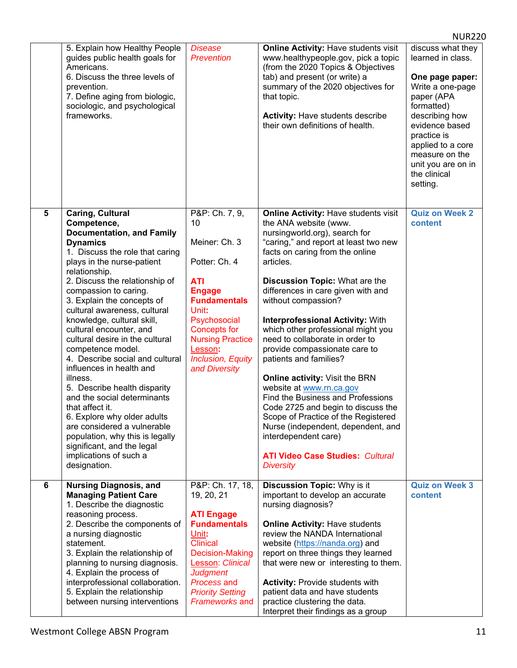|            | 5. Explain how Healthy People<br>guides public health goals for<br>Americans.<br>6. Discuss the three levels of<br>prevention.<br>7. Define aging from biologic,<br>sociologic, and psychological<br>frameworks.                                                                                                                                                                                                                                                                                                                                                                                                                                                                                                                                                | <b>Disease</b><br><b>Prevention</b>                                                                                                                                                                                                               | <b>Online Activity: Have students visit</b><br>www.healthypeople.gov, pick a topic<br>(from the 2020 Topics & Objectives<br>tab) and present (or write) a<br>summary of the 2020 objectives for<br>that topic.<br><b>Activity: Have students describe</b><br>their own definitions of health.                                                                                                                                                                                                                                                                                                                                                                                                                                                                                             | discuss what they<br>learned in class.<br>One page paper:<br>Write a one-page<br>paper (APA<br>formatted)<br>describing how<br>evidence based<br>practice is<br>applied to a core<br>measure on the<br>unit you are on in<br>the clinical<br>setting. |
|------------|-----------------------------------------------------------------------------------------------------------------------------------------------------------------------------------------------------------------------------------------------------------------------------------------------------------------------------------------------------------------------------------------------------------------------------------------------------------------------------------------------------------------------------------------------------------------------------------------------------------------------------------------------------------------------------------------------------------------------------------------------------------------|---------------------------------------------------------------------------------------------------------------------------------------------------------------------------------------------------------------------------------------------------|-------------------------------------------------------------------------------------------------------------------------------------------------------------------------------------------------------------------------------------------------------------------------------------------------------------------------------------------------------------------------------------------------------------------------------------------------------------------------------------------------------------------------------------------------------------------------------------------------------------------------------------------------------------------------------------------------------------------------------------------------------------------------------------------|-------------------------------------------------------------------------------------------------------------------------------------------------------------------------------------------------------------------------------------------------------|
| $\sqrt{5}$ | <b>Caring, Cultural</b><br>Competence,<br><b>Documentation, and Family</b><br><b>Dynamics</b><br>1. Discuss the role that caring<br>plays in the nurse-patient<br>relationship.<br>2. Discuss the relationship of<br>compassion to caring.<br>3. Explain the concepts of<br>cultural awareness, cultural<br>knowledge, cultural skill,<br>cultural encounter, and<br>cultural desire in the cultural<br>competence model.<br>4. Describe social and cultural<br>influences in health and<br>illness.<br>5. Describe health disparity<br>and the social determinants<br>that affect it.<br>6. Explore why older adults<br>are considered a vulnerable<br>population, why this is legally<br>significant, and the legal<br>implications of such a<br>designation. | P&P: Ch. 7, 9,<br>10<br>Meiner: Ch. 3<br>Potter: Ch. 4<br><b>ATI</b><br><b>Engage</b><br><b>Fundamentals</b><br>Unit:<br>Psychosocial<br><b>Concepts for</b><br><b>Nursing Practice</b><br>Lesson:<br><b>Inclusion, Equity</b><br>and Diversity   | <b>Online Activity: Have students visit</b><br>the ANA website (www.<br>nursingworld.org), search for<br>"caring," and report at least two new<br>facts on caring from the online<br>articles.<br>Discussion Topic: What are the<br>differences in care given with and<br>without compassion?<br><b>Interprofessional Activity: With</b><br>which other professional might you<br>need to collaborate in order to<br>provide compassionate care to<br>patients and families?<br>Online activity: Visit the BRN<br>website at www.rn.ca.gov<br>Find the Business and Professions<br>Code 2725 and begin to discuss the<br>Scope of Practice of the Registered<br>Nurse (independent, dependent, and<br>interdependent care)<br><b>ATI Video Case Studies: Cultural</b><br><b>Diversity</b> | <b>Quiz on Week 2</b><br>content                                                                                                                                                                                                                      |
| $\bf 6$    | <b>Nursing Diagnosis, and</b><br><b>Managing Patient Care</b><br>1. Describe the diagnostic<br>reasoning process.<br>2. Describe the components of<br>a nursing diagnostic<br>statement.<br>3. Explain the relationship of<br>planning to nursing diagnosis.<br>4. Explain the process of<br>interprofessional collaboration.<br>5. Explain the relationship<br>between nursing interventions                                                                                                                                                                                                                                                                                                                                                                   | P&P: Ch. 17, 18,<br>19, 20, 21<br><b>ATI Engage</b><br><b>Fundamentals</b><br>Unit:<br><b>Clinical</b><br><b>Decision-Making</b><br>Lesson: Clinical<br><b>Judgment</b><br><b>Process and</b><br><b>Priority Setting</b><br><b>Frameworks and</b> | <b>Discussion Topic: Why is it</b><br>important to develop an accurate<br>nursing diagnosis?<br><b>Online Activity: Have students</b><br>review the NANDA International<br>website (https://nanda.org) and<br>report on three things they learned<br>that were new or interesting to them.<br><b>Activity: Provide students with</b><br>patient data and have students<br>practice clustering the data.<br>Interpret their findings as a group                                                                                                                                                                                                                                                                                                                                            | <b>Quiz on Week 3</b><br>content                                                                                                                                                                                                                      |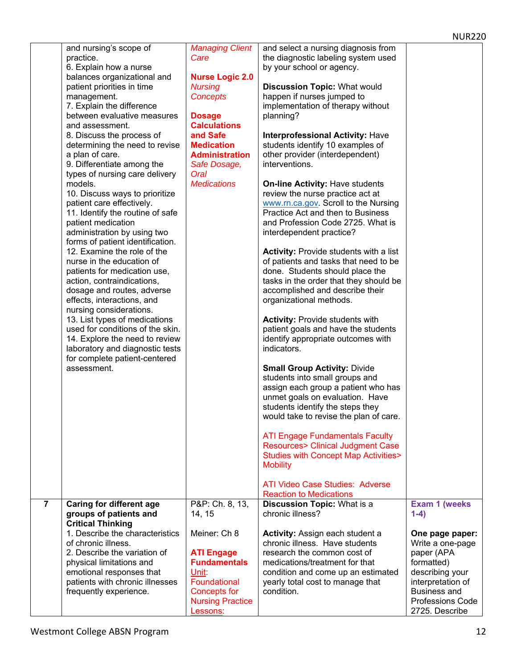|                | and nursing's scope of           | <b>Managing Client</b>              | and select a nursing diagnosis from            |                                           |
|----------------|----------------------------------|-------------------------------------|------------------------------------------------|-------------------------------------------|
|                | practice.                        | Care                                | the diagnostic labeling system used            |                                           |
|                | 6. Explain how a nurse           |                                     | by your school or agency.                      |                                           |
|                | balances organizational and      | <b>Nurse Logic 2.0</b>              |                                                |                                           |
|                | patient priorities in time       | <b>Nursing</b>                      | <b>Discussion Topic: What would</b>            |                                           |
|                | management.                      | <b>Concepts</b>                     | happen if nurses jumped to                     |                                           |
|                |                                  |                                     |                                                |                                           |
|                | 7. Explain the difference        |                                     | implementation of therapy without              |                                           |
|                | between evaluative measures      | <b>Dosage</b>                       | planning?                                      |                                           |
|                | and assessment.                  | <b>Calculations</b>                 |                                                |                                           |
|                | 8. Discuss the process of        | and Safe                            | <b>Interprofessional Activity: Have</b>        |                                           |
|                | determining the need to revise   | <b>Medication</b>                   | students identify 10 examples of               |                                           |
|                | a plan of care.                  | <b>Administration</b>               | other provider (interdependent)                |                                           |
|                | 9. Differentiate among the       | Safe Dosage,                        | interventions.                                 |                                           |
|                |                                  |                                     |                                                |                                           |
|                | types of nursing care delivery   | Oral                                |                                                |                                           |
|                | models.                          | <b>Medications</b>                  | <b>On-line Activity: Have students</b>         |                                           |
|                | 10. Discuss ways to prioritize   |                                     | review the nurse practice act at               |                                           |
|                | patient care effectively.        |                                     | www.rn.ca.gov. Scroll to the Nursing           |                                           |
|                | 11. Identify the routine of safe |                                     | Practice Act and then to Business              |                                           |
|                | patient medication               |                                     | and Profession Code 2725. What is              |                                           |
|                | administration by using two      |                                     | interdependent practice?                       |                                           |
|                | forms of patient identification. |                                     |                                                |                                           |
|                |                                  |                                     |                                                |                                           |
|                | 12. Examine the role of the      |                                     | <b>Activity: Provide students with a list</b>  |                                           |
|                | nurse in the education of        |                                     | of patients and tasks that need to be          |                                           |
|                | patients for medication use,     |                                     | done. Students should place the                |                                           |
|                | action, contraindications,       |                                     | tasks in the order that they should be         |                                           |
|                | dosage and routes, adverse       |                                     | accomplished and describe their                |                                           |
|                | effects, interactions, and       |                                     | organizational methods.                        |                                           |
|                | nursing considerations.          |                                     |                                                |                                           |
|                |                                  |                                     |                                                |                                           |
|                | 13. List types of medications    |                                     | <b>Activity: Provide students with</b>         |                                           |
|                | used for conditions of the skin. |                                     | patient goals and have the students            |                                           |
|                |                                  |                                     |                                                |                                           |
|                | 14. Explore the need to review   |                                     | identify appropriate outcomes with             |                                           |
|                | laboratory and diagnostic tests  |                                     | indicators.                                    |                                           |
|                |                                  |                                     |                                                |                                           |
|                | for complete patient-centered    |                                     |                                                |                                           |
|                | assessment.                      |                                     | <b>Small Group Activity: Divide</b>            |                                           |
|                |                                  |                                     | students into small groups and                 |                                           |
|                |                                  |                                     | assign each group a patient who has            |                                           |
|                |                                  |                                     | unmet goals on evaluation. Have                |                                           |
|                |                                  |                                     | students identify the steps they               |                                           |
|                |                                  |                                     | would take to revise the plan of care.         |                                           |
|                |                                  |                                     |                                                |                                           |
|                |                                  |                                     |                                                |                                           |
|                |                                  |                                     | <b>ATI Engage Fundamentals Faculty</b>         |                                           |
|                |                                  |                                     | <b>Resources&gt; Clinical Judgment Case</b>    |                                           |
|                |                                  |                                     | <b>Studies with Concept Map Activities&gt;</b> |                                           |
|                |                                  |                                     | <b>Mobility</b>                                |                                           |
|                |                                  |                                     |                                                |                                           |
|                |                                  |                                     | ATI Video Case Studies: Adverse                |                                           |
|                |                                  |                                     | <b>Reaction to Medications</b>                 |                                           |
| $\overline{7}$ | <b>Caring for different age</b>  | P&P: Ch. 8, 13,                     | <b>Discussion Topic: What is a</b>             | Exam 1 (weeks                             |
|                |                                  |                                     | chronic illness?                               | $1-4)$                                    |
|                | groups of patients and           | 14, 15                              |                                                |                                           |
|                | <b>Critical Thinking</b>         |                                     |                                                |                                           |
|                | 1. Describe the characteristics  | Meiner: Ch 8                        | <b>Activity: Assign each student a</b>         | One page paper:                           |
|                | of chronic illness.              |                                     | chronic illness. Have students                 | Write a one-page                          |
|                | 2. Describe the variation of     | <b>ATI Engage</b>                   | research the common cost of                    | paper (APA                                |
|                | physical limitations and         | <b>Fundamentals</b>                 | medications/treatment for that                 | formatted)                                |
|                | emotional responses that         | Unit:                               | condition and come up an estimated             | describing your                           |
|                |                                  | Foundational                        |                                                |                                           |
|                | patients with chronic illnesses  |                                     | yearly total cost to manage that               | interpretation of                         |
|                | frequently experience.           | <b>Concepts for</b>                 | condition.                                     | <b>Business and</b>                       |
|                |                                  | <b>Nursing Practice</b><br>Lessons: |                                                | <b>Professions Code</b><br>2725. Describe |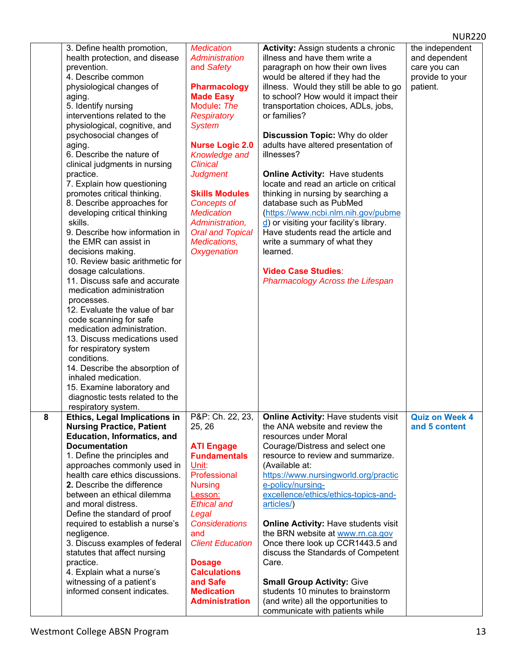|           |                                                                                                                                                                                                                                                                                                                                                                                                                                                                                                                                                                                                                                                                                                                                                                                                                                                                                                                                                                                                                                  |                                                                                                                                                                                                                                                                                                                                                                                      |                                                                                                                                                                                                                                                                                                                                                                                                                                                                                                                                                                                                                                                                                                                                                                                       | <b>NUR220</b>                                                                   |  |
|-----------|----------------------------------------------------------------------------------------------------------------------------------------------------------------------------------------------------------------------------------------------------------------------------------------------------------------------------------------------------------------------------------------------------------------------------------------------------------------------------------------------------------------------------------------------------------------------------------------------------------------------------------------------------------------------------------------------------------------------------------------------------------------------------------------------------------------------------------------------------------------------------------------------------------------------------------------------------------------------------------------------------------------------------------|--------------------------------------------------------------------------------------------------------------------------------------------------------------------------------------------------------------------------------------------------------------------------------------------------------------------------------------------------------------------------------------|---------------------------------------------------------------------------------------------------------------------------------------------------------------------------------------------------------------------------------------------------------------------------------------------------------------------------------------------------------------------------------------------------------------------------------------------------------------------------------------------------------------------------------------------------------------------------------------------------------------------------------------------------------------------------------------------------------------------------------------------------------------------------------------|---------------------------------------------------------------------------------|--|
|           | 3. Define health promotion,<br>health protection, and disease<br>prevention.<br>4. Describe common<br>physiological changes of<br>aging.<br>5. Identify nursing<br>interventions related to the<br>physiological, cognitive, and<br>psychosocial changes of<br>aging.<br>6. Describe the nature of<br>clinical judgments in nursing<br>practice.<br>7. Explain how questioning<br>promotes critical thinking.<br>8. Describe approaches for<br>developing critical thinking<br>skills.<br>9. Describe how information in<br>the EMR can assist in<br>decisions making.<br>10. Review basic arithmetic for<br>dosage calculations.<br>11. Discuss safe and accurate<br>medication administration<br>processes.<br>12. Evaluate the value of bar<br>code scanning for safe<br>medication administration.<br>13. Discuss medications used<br>for respiratory system<br>conditions.<br>14. Describe the absorption of<br>inhaled medication.<br>15. Examine laboratory and<br>diagnostic tests related to the<br>respiratory system. | <b>Medication</b><br><b>Administration</b><br>and Safety<br><b>Pharmacology</b><br><b>Made Easy</b><br>Module: The<br><b>Respiratory</b><br><b>System</b><br><b>Nurse Logic 2.0</b><br>Knowledge and<br><b>Clinical</b><br><b>Judgment</b><br><b>Skills Modules</b><br>Concepts of<br><b>Medication</b><br>Administration,<br><b>Oral and Topical</b><br>Medications,<br>Oxygenation | <b>Activity: Assign students a chronic</b><br>illness and have them write a<br>paragraph on how their own lives<br>would be altered if they had the<br>illness. Would they still be able to go<br>to school? How would it impact their<br>transportation choices, ADLs, jobs,<br>or families?<br>Discussion Topic: Why do older<br>adults have altered presentation of<br>illnesses?<br><b>Online Activity: Have students</b><br>locate and read an article on critical<br>thinking in nursing by searching a<br>database such as PubMed<br>(https://www.ncbi.nlm.nih.gov/pubme<br>d) or visiting your facility's library.<br>Have students read the article and<br>write a summary of what they<br>learned.<br><b>Video Case Studies:</b><br><b>Pharmacology Across the Lifespan</b> | the independent<br>and dependent<br>care you can<br>provide to your<br>patient. |  |
| $\pmb{8}$ | Ethics, Legal Implications in<br><b>Nursing Practice, Patient</b><br><b>Education, Informatics, and</b><br><b>Documentation</b><br>1. Define the principles and<br>approaches commonly used in<br>health care ethics discussions.<br>2. Describe the difference<br>between an ethical dilemma<br>and moral distress.<br>Define the standard of proof<br>required to establish a nurse's<br>negligence.<br>3. Discuss examples of federal<br>statutes that affect nursing<br>practice.<br>4. Explain what a nurse's<br>witnessing of a patient's<br>informed consent indicates.                                                                                                                                                                                                                                                                                                                                                                                                                                                   | P&P: Ch. 22, 23,<br>25, 26<br><b>ATI Engage</b><br><b>Fundamentals</b><br>Unit:<br>Professional<br><b>Nursing</b><br>Lesson:<br><b>Ethical and</b><br>Legal<br><b>Considerations</b><br>and<br><b>Client Education</b><br><b>Dosage</b><br><b>Calculations</b><br>and Safe<br><b>Medication</b><br><b>Administration</b>                                                             | <b>Online Activity: Have students visit</b><br>the ANA website and review the<br>resources under Moral<br>Courage/Distress and select one<br>resource to review and summarize.<br>(Available at:<br>https://www.nursingworld.org/practic<br>e-policy/nursing-<br>excellence/ethics/ethics-topics-and-<br>articles/)<br><b>Online Activity: Have students visit</b><br>the BRN website at www.rn.ca.gov<br>Once there look up CCR1443.5 and<br>discuss the Standards of Competent<br>Care.<br><b>Small Group Activity: Give</b><br>students 10 minutes to brainstorm<br>(and write) all the opportunities to<br>communicate with patients while                                                                                                                                        | <b>Quiz on Week 4</b><br>and 5 content                                          |  |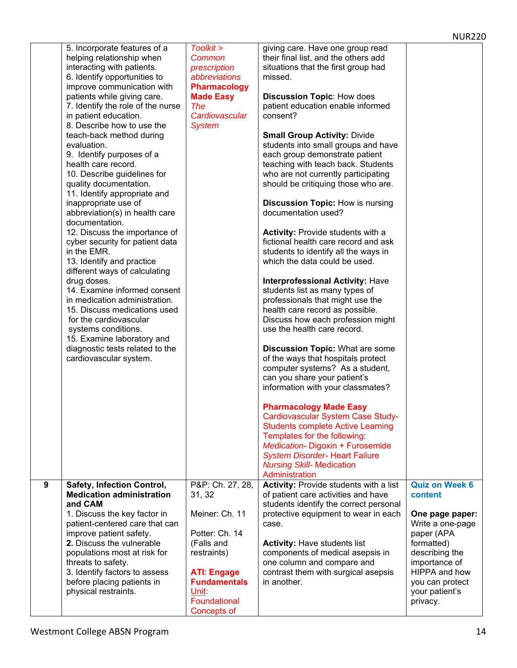|   | 5. Incorporate features of a<br>helping relationship when<br>interacting with patients.<br>6. Identify opportunities to<br>improve communication with<br>patients while giving care.<br>7. Identify the role of the nurse<br>in patient education.<br>8. Describe how to use the<br>teach-back method during<br>evaluation.<br>9. Identify purposes of a<br>health care record.<br>10. Describe guidelines for<br>quality documentation.<br>11. Identify appropriate and<br>inappropriate use of<br>abbreviation(s) in health care<br>documentation.<br>12. Discuss the importance of<br>cyber security for patient data<br>in the EMR.<br>13. Identify and practice<br>different ways of calculating<br>drug doses.<br>14. Examine informed consent<br>in medication administration.<br>15. Discuss medications used<br>for the cardiovascular<br>systems conditions.<br>15. Examine laboratory and<br>diagnostic tests related to the<br>cardiovascular system. | Toolkit ><br>Common<br>prescription<br>abbreviations<br><b>Pharmacology</b><br><b>Made Easy</b><br><b>The</b><br>Cardiovascular<br><b>System</b>                                | giving care. Have one group read<br>their final list, and the others add<br>situations that the first group had<br>missed.<br><b>Discussion Topic: How does</b><br>patient education enable informed<br>consent?<br><b>Small Group Activity: Divide</b><br>students into small groups and have<br>each group demonstrate patient<br>teaching with teach back. Students<br>who are not currently participating<br>should be critiquing those who are.<br><b>Discussion Topic: How is nursing</b><br>documentation used?<br><b>Activity: Provide students with a</b><br>fictional health care record and ask<br>students to identify all the ways in<br>which the data could be used.<br><b>Interprofessional Activity: Have</b><br>students list as many types of<br>professionals that might use the<br>health care record as possible.<br>Discuss how each profession might<br>use the health care record.<br><b>Discussion Topic: What are some</b><br>of the ways that hospitals protect<br>computer systems? As a student,<br>can you share your patient's<br>information with your classmates?<br><b>Pharmacology Made Easy</b><br>Cardiovascular System Case Study-<br><b>Students complete Active Learning</b><br>Templates for the following:<br>Medication-Digoxin + Furosemide<br><b>System Disorder- Heart Failure</b><br><b>Nursing Skill- Medication</b> |                                                                                                                                                                                                          |
|---|-------------------------------------------------------------------------------------------------------------------------------------------------------------------------------------------------------------------------------------------------------------------------------------------------------------------------------------------------------------------------------------------------------------------------------------------------------------------------------------------------------------------------------------------------------------------------------------------------------------------------------------------------------------------------------------------------------------------------------------------------------------------------------------------------------------------------------------------------------------------------------------------------------------------------------------------------------------------|---------------------------------------------------------------------------------------------------------------------------------------------------------------------------------|-----------------------------------------------------------------------------------------------------------------------------------------------------------------------------------------------------------------------------------------------------------------------------------------------------------------------------------------------------------------------------------------------------------------------------------------------------------------------------------------------------------------------------------------------------------------------------------------------------------------------------------------------------------------------------------------------------------------------------------------------------------------------------------------------------------------------------------------------------------------------------------------------------------------------------------------------------------------------------------------------------------------------------------------------------------------------------------------------------------------------------------------------------------------------------------------------------------------------------------------------------------------------------------------------------------------------------------------------------------------------|----------------------------------------------------------------------------------------------------------------------------------------------------------------------------------------------------------|
| 9 | <b>Safety, Infection Control,</b><br><b>Medication administration</b><br>and CAM<br>1. Discuss the key factor in<br>patient-centered care that can<br>improve patient safety.<br>2. Discuss the vulnerable<br>populations most at risk for<br>threats to safety.<br>3. Identify factors to assess<br>before placing patients in<br>physical restraints.                                                                                                                                                                                                                                                                                                                                                                                                                                                                                                                                                                                                           | P&P: Ch. 27, 28,<br>31, 32<br>Meiner: Ch. 11<br>Potter: Ch. 14<br>(Falls and<br>restraints)<br><b>ATI Engage</b><br><b>Fundamentals</b><br>Unit:<br>Foundational<br>Concepts of | Administration<br><b>Activity: Provide students with a list</b><br>of patient care activities and have<br>students identify the correct personal<br>protective equipment to wear in each<br>case.<br><b>Activity: Have students list</b><br>components of medical asepsis in<br>one column and compare and<br>contrast them with surgical asepsis<br>in another.                                                                                                                                                                                                                                                                                                                                                                                                                                                                                                                                                                                                                                                                                                                                                                                                                                                                                                                                                                                                      | <b>Quiz on Week 6</b><br>content<br>One page paper:<br>Write a one-page<br>paper (APA<br>formatted)<br>describing the<br>importance of<br>HIPPA and how<br>you can protect<br>your patient's<br>privacy. |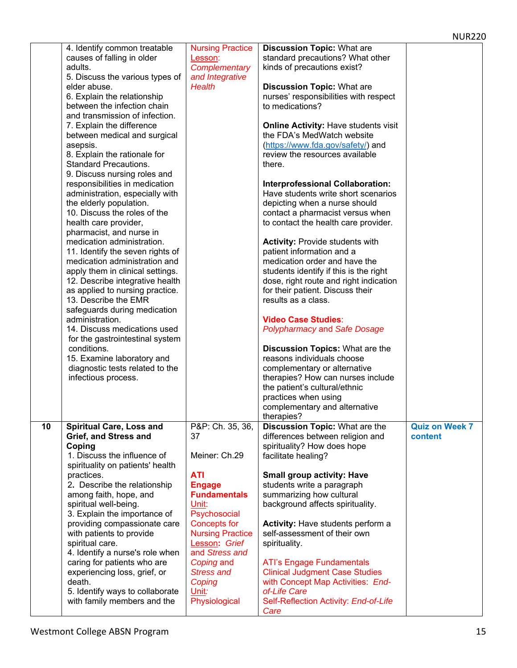|    | 4. Identify common treatable     | <b>Nursing Practice</b> | <b>Discussion Topic: What are</b>           |                       |
|----|----------------------------------|-------------------------|---------------------------------------------|-----------------------|
|    | causes of falling in older       | Lesson:                 | standard precautions? What other            |                       |
|    | adults.                          | Complementary           | kinds of precautions exist?                 |                       |
|    |                                  |                         |                                             |                       |
|    | 5. Discuss the various types of  | and Integrative         |                                             |                       |
|    | elder abuse.                     | <b>Health</b>           | <b>Discussion Topic: What are</b>           |                       |
|    | 6. Explain the relationship      |                         | nurses' responsibilities with respect       |                       |
|    | between the infection chain      |                         | to medications?                             |                       |
|    | and transmission of infection.   |                         |                                             |                       |
|    | 7. Explain the difference        |                         | <b>Online Activity: Have students visit</b> |                       |
|    | between medical and surgical     |                         | the FDA's MedWatch website                  |                       |
|    | asepsis.                         |                         | (https://www.fda.gov/safety/) and           |                       |
|    |                                  |                         | review the resources available              |                       |
|    | 8. Explain the rationale for     |                         |                                             |                       |
|    | <b>Standard Precautions.</b>     |                         | there.                                      |                       |
|    | 9. Discuss nursing roles and     |                         |                                             |                       |
|    | responsibilities in medication   |                         | <b>Interprofessional Collaboration:</b>     |                       |
|    | administration, especially with  |                         | Have students write short scenarios         |                       |
|    | the elderly population.          |                         | depicting when a nurse should               |                       |
|    | 10. Discuss the roles of the     |                         | contact a pharmacist versus when            |                       |
|    | health care provider,            |                         | to contact the health care provider.        |                       |
|    | pharmacist, and nurse in         |                         |                                             |                       |
|    |                                  |                         |                                             |                       |
|    | medication administration.       |                         | <b>Activity: Provide students with</b>      |                       |
|    | 11. Identify the seven rights of |                         | patient information and a                   |                       |
|    | medication administration and    |                         | medication order and have the               |                       |
|    | apply them in clinical settings. |                         | students identify if this is the right      |                       |
|    | 12. Describe integrative health  |                         | dose, right route and right indication      |                       |
|    | as applied to nursing practice.  |                         | for their patient. Discuss their            |                       |
|    | 13. Describe the EMR             |                         | results as a class.                         |                       |
|    | safeguards during medication     |                         |                                             |                       |
|    |                                  |                         |                                             |                       |
|    | administration.                  |                         | <b>Video Case Studies:</b>                  |                       |
|    | 14. Discuss medications used     |                         | <b>Polypharmacy and Safe Dosage</b>         |                       |
|    | for the gastrointestinal system  |                         |                                             |                       |
|    | conditions.                      |                         | <b>Discussion Topics: What are the</b>      |                       |
|    | 15. Examine laboratory and       |                         | reasons individuals choose                  |                       |
|    | diagnostic tests related to the  |                         | complementary or alternative                |                       |
|    | infectious process.              |                         | therapies? How can nurses include           |                       |
|    |                                  |                         | the patient's cultural/ethnic               |                       |
|    |                                  |                         | practices when using                        |                       |
|    |                                  |                         |                                             |                       |
|    |                                  |                         | complementary and alternative               |                       |
|    |                                  |                         | therapies?                                  |                       |
| 10 | <b>Spiritual Care, Loss and</b>  | P&P: Ch. 35, 36,        | <b>Discussion Topic: What are the</b>       | <b>Quiz on Week 7</b> |
|    | Grief, and Stress and            | 37                      | differences between religion and            | content               |
|    | Coping                           |                         | spirituality? How does hope                 |                       |
|    | 1. Discuss the influence of      | Meiner: Ch.29           | facilitate healing?                         |                       |
|    | spirituality on patients' health |                         |                                             |                       |
|    | practices.                       | <b>ATI</b>              | <b>Small group activity: Have</b>           |                       |
|    | 2. Describe the relationship     | <b>Engage</b>           | students write a paragraph                  |                       |
|    |                                  | <b>Fundamentals</b>     | summarizing how cultural                    |                       |
|    | among faith, hope, and           |                         |                                             |                       |
|    | spiritual well-being.            | Unit:                   | background affects spirituality.            |                       |
|    | 3. Explain the importance of     | Psychosocial            |                                             |                       |
|    | providing compassionate care     | <b>Concepts for</b>     | Activity: Have students perform a           |                       |
|    | with patients to provide         | <b>Nursing Practice</b> | self-assessment of their own                |                       |
|    | spiritual care.                  | Lesson: Grief           | spirituality.                               |                       |
|    | 4. Identify a nurse's role when  | and Stress and          |                                             |                       |
|    | caring for patients who are      | Coping and              | <b>ATI's Engage Fundamentals</b>            |                       |
|    | experiencing loss, grief, or     | <b>Stress and</b>       | <b>Clinical Judgment Case Studies</b>       |                       |
|    |                                  |                         |                                             |                       |
|    | death.                           | Coping                  | with Concept Map Activities: End-           |                       |
|    | 5. Identify ways to collaborate  | Unit:                   | of-Life Care                                |                       |
|    | with family members and the      | Physiological           | Self-Reflection Activity: End-of-Life       |                       |
|    |                                  |                         | Care                                        |                       |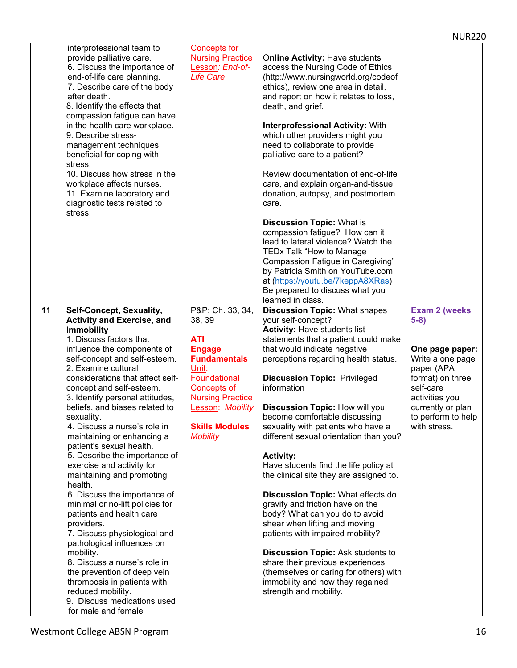|                                                                                                                                                                                                                                                                                                                                                                                                                                                                                                                                                                                                                                                                                                                                                                                                                                                                                                                                |                                                                                                                                                                                                                     |                                                                                                                                                                                                                                                                                                                                                                                                                                                                                                                                                                                                                                                                                                                                                                                                                                                                                                            | <b>NUR220</b>                                                                                                                                                                                      |
|--------------------------------------------------------------------------------------------------------------------------------------------------------------------------------------------------------------------------------------------------------------------------------------------------------------------------------------------------------------------------------------------------------------------------------------------------------------------------------------------------------------------------------------------------------------------------------------------------------------------------------------------------------------------------------------------------------------------------------------------------------------------------------------------------------------------------------------------------------------------------------------------------------------------------------|---------------------------------------------------------------------------------------------------------------------------------------------------------------------------------------------------------------------|------------------------------------------------------------------------------------------------------------------------------------------------------------------------------------------------------------------------------------------------------------------------------------------------------------------------------------------------------------------------------------------------------------------------------------------------------------------------------------------------------------------------------------------------------------------------------------------------------------------------------------------------------------------------------------------------------------------------------------------------------------------------------------------------------------------------------------------------------------------------------------------------------------|----------------------------------------------------------------------------------------------------------------------------------------------------------------------------------------------------|
| interprofessional team to<br>provide palliative care.<br>6. Discuss the importance of<br>end-of-life care planning.<br>7. Describe care of the body<br>after death.<br>8. Identify the effects that<br>compassion fatigue can have                                                                                                                                                                                                                                                                                                                                                                                                                                                                                                                                                                                                                                                                                             | <b>Concepts for</b><br><b>Nursing Practice</b><br>Lesson: End-of-<br><b>Life Care</b>                                                                                                                               | Online Activity: Have students<br>access the Nursing Code of Ethics<br>(http://www.nursingworld.org/codeof<br>ethics), review one area in detail,<br>and report on how it relates to loss,<br>death, and grief.                                                                                                                                                                                                                                                                                                                                                                                                                                                                                                                                                                                                                                                                                            |                                                                                                                                                                                                    |
| in the health care workplace.<br>9. Describe stress-<br>management techniques<br>beneficial for coping with<br>stress.                                                                                                                                                                                                                                                                                                                                                                                                                                                                                                                                                                                                                                                                                                                                                                                                         |                                                                                                                                                                                                                     | <b>Interprofessional Activity: With</b><br>which other providers might you<br>need to collaborate to provide<br>palliative care to a patient?                                                                                                                                                                                                                                                                                                                                                                                                                                                                                                                                                                                                                                                                                                                                                              |                                                                                                                                                                                                    |
| 10. Discuss how stress in the<br>workplace affects nurses.<br>11. Examine laboratory and<br>diagnostic tests related to<br>stress.                                                                                                                                                                                                                                                                                                                                                                                                                                                                                                                                                                                                                                                                                                                                                                                             |                                                                                                                                                                                                                     | Review documentation of end-of-life<br>care, and explain organ-and-tissue<br>donation, autopsy, and postmortem<br>care.                                                                                                                                                                                                                                                                                                                                                                                                                                                                                                                                                                                                                                                                                                                                                                                    |                                                                                                                                                                                                    |
|                                                                                                                                                                                                                                                                                                                                                                                                                                                                                                                                                                                                                                                                                                                                                                                                                                                                                                                                |                                                                                                                                                                                                                     | <b>Discussion Topic: What is</b><br>compassion fatigue? How can it<br>lead to lateral violence? Watch the<br>TEDx Talk "How to Manage<br>Compassion Fatigue in Caregiving"<br>by Patricia Smith on YouTube.com<br>at (https://youtu.be/7keppA8XRas)<br>Be prepared to discuss what you<br>learned in class.                                                                                                                                                                                                                                                                                                                                                                                                                                                                                                                                                                                                |                                                                                                                                                                                                    |
| 11<br>Self-Concept, Sexuality,<br><b>Activity and Exercise, and</b><br><b>Immobility</b><br>1. Discuss factors that<br>influence the components of<br>self-concept and self-esteem.<br>2. Examine cultural<br>considerations that affect self-<br>concept and self-esteem.<br>3. Identify personal attitudes,<br>beliefs, and biases related to<br>sexuality.<br>4. Discuss a nurse's role in<br>maintaining or enhancing a<br>patient's sexual health.<br>5. Describe the importance of<br>exercise and activity for<br>maintaining and promoting<br>health.<br>6. Discuss the importance of<br>minimal or no-lift policies for<br>patients and health care<br>providers.<br>7. Discuss physiological and<br>pathological influences on<br>mobility.<br>8. Discuss a nurse's role in<br>the prevention of deep vein<br>thrombosis in patients with<br>reduced mobility.<br>9. Discuss medications used<br>for male and female | P&P: Ch. 33, 34,<br>38, 39<br><b>ATI</b><br><b>Engage</b><br><b>Fundamentals</b><br>Unit:<br>Foundational<br>Concepts of<br><b>Nursing Practice</b><br>Lesson: Mobility<br><b>Skills Modules</b><br><b>Mobility</b> | <b>Discussion Topic: What shapes</b><br>your self-concept?<br><b>Activity: Have students list</b><br>statements that a patient could make<br>that would indicate negative<br>perceptions regarding health status.<br><b>Discussion Topic: Privileged</b><br>information<br><b>Discussion Topic: How will you</b><br>become comfortable discussing<br>sexuality with patients who have a<br>different sexual orientation than you?<br><b>Activity:</b><br>Have students find the life policy at<br>the clinical site they are assigned to.<br>Discussion Topic: What effects do<br>gravity and friction have on the<br>body? What can you do to avoid<br>shear when lifting and moving<br>patients with impaired mobility?<br>Discussion Topic: Ask students to<br>share their previous experiences<br>(themselves or caring for others) with<br>immobility and how they regained<br>strength and mobility. | <b>Exam 2 (weeks)</b><br>$5-8)$<br>One page paper:<br>Write a one page<br>paper (APA<br>format) on three<br>self-care<br>activities you<br>currently or plan<br>to perform to help<br>with stress. |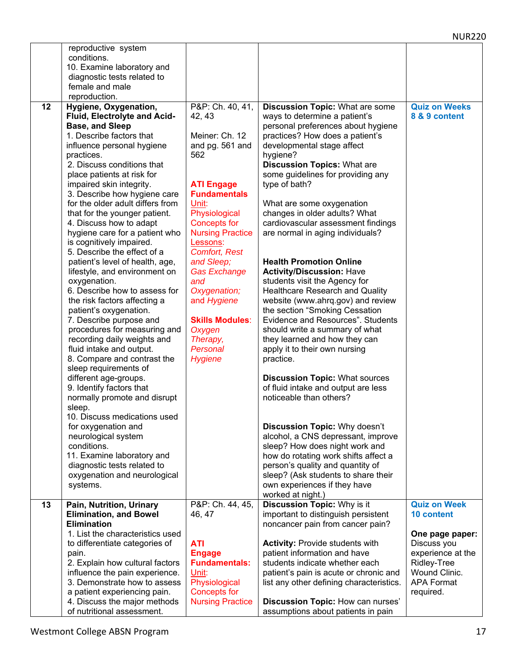| 10. Examine laboratory and<br>diagnostic tests related to<br>female and male<br>reproduction.<br>P&P: Ch. 40, 41,<br>12<br><b>Discussion Topic: What are some</b><br><b>Quiz on Weeks</b><br>Hygiene, Oxygenation,<br>Fluid, Electrolyte and Acid-<br>ways to determine a patient's<br>42, 43<br>8 & 9 content<br><b>Base, and Sleep</b><br>personal preferences about hygiene<br>1. Describe factors that<br>Meiner: Ch. 12<br>practices? How does a patient's<br>developmental stage affect<br>influence personal hygiene<br>and pg. 561 and<br>hygiene?<br>practices.<br>562<br>2. Discuss conditions that<br><b>Discussion Topics: What are</b><br>some guidelines for providing any<br>place patients at risk for<br>type of bath?<br>impaired skin integrity.<br><b>ATI Engage</b><br><b>Fundamentals</b><br>3. Describe how hygiene care<br>for the older adult differs from<br>Unit:<br>What are some oxygenation<br>Physiological<br>changes in older adults? What<br>that for the younger patient.<br>4. Discuss how to adapt<br><b>Concepts for</b><br>cardiovascular assessment findings<br>hygiene care for a patient who<br><b>Nursing Practice</b><br>are normal in aging individuals?<br>is cognitively impaired.<br>Lessons:<br>5. Describe the effect of a<br><b>Comfort, Rest</b><br>patient's level of health, age,<br><b>Health Promotion Online</b><br>and Sleep;<br><b>Activity/Discussion: Have</b><br>lifestyle, and environment on<br><b>Gas Exchange</b><br>oxygenation.<br>and<br>students visit the Agency for<br>6. Describe how to assess for<br>Oxygenation;<br><b>Healthcare Research and Quality</b><br>website (www.ahrq.gov) and review<br>the risk factors affecting a<br>and Hygiene<br>patient's oxygenation.<br>the section "Smoking Cessation<br><b>Skills Modules:</b><br>Evidence and Resources". Students<br>7. Describe purpose and<br>procedures for measuring and<br>Oxygen<br>should write a summary of what<br>recording daily weights and<br>they learned and how they can<br>Therapy,<br>fluid intake and output.<br>Personal<br>apply it to their own nursing<br>8. Compare and contrast the<br><b>Hygiene</b><br>practice.<br>sleep requirements of<br>different age-groups.<br><b>Discussion Topic: What sources</b><br>9. Identify factors that<br>of fluid intake and output are less<br>noticeable than others?<br>normally promote and disrupt<br>sleep.<br>10. Discuss medications used<br>Discussion Topic: Why doesn't<br>for oxygenation and<br>alcohol, a CNS depressant, improve<br>neurological system<br>conditions.<br>sleep? How does night work and<br>11. Examine laboratory and<br>how do rotating work shifts affect a<br>person's quality and quantity of<br>diagnostic tests related to<br>sleep? (Ask students to share their<br>oxygenation and neurological<br>own experiences if they have<br>systems.<br>worked at night.)<br>Pain, Nutrition, Urinary<br>P&P: Ch. 44, 45,<br><b>Discussion Topic: Why is it</b><br><b>Quiz on Week</b><br>13<br><b>Elimination, and Bowel</b><br>important to distinguish persistent<br>46, 47<br><b>10 content</b><br><b>Elimination</b><br>noncancer pain from cancer pain?<br>1. List the characteristics used<br>One page paper:<br>ATI<br><b>Activity: Provide students with</b><br>Discuss you<br>to differentiate categories of<br>patient information and have<br>experience at the<br><b>Engage</b><br>pain. | reproductive system<br>conditions. |  |  |
|---------------------------------------------------------------------------------------------------------------------------------------------------------------------------------------------------------------------------------------------------------------------------------------------------------------------------------------------------------------------------------------------------------------------------------------------------------------------------------------------------------------------------------------------------------------------------------------------------------------------------------------------------------------------------------------------------------------------------------------------------------------------------------------------------------------------------------------------------------------------------------------------------------------------------------------------------------------------------------------------------------------------------------------------------------------------------------------------------------------------------------------------------------------------------------------------------------------------------------------------------------------------------------------------------------------------------------------------------------------------------------------------------------------------------------------------------------------------------------------------------------------------------------------------------------------------------------------------------------------------------------------------------------------------------------------------------------------------------------------------------------------------------------------------------------------------------------------------------------------------------------------------------------------------------------------------------------------------------------------------------------------------------------------------------------------------------------------------------------------------------------------------------------------------------------------------------------------------------------------------------------------------------------------------------------------------------------------------------------------------------------------------------------------------------------------------------------------------------------------------------------------------------------------------------------------------------------------------------------------------------------------------------------------------------------------------------------------------------------------------------------------------------------------------------------------------------------------------------------------------------------------------------------------------------------------------------------------------------------------------------------------------------------------------------------------------------------------------------------------------------------------------------------------------------------------------------------------------------------------------------------------------------------------------------------------------------------------------------------------------------------------------------------------------------------------|------------------------------------|--|--|
|                                                                                                                                                                                                                                                                                                                                                                                                                                                                                                                                                                                                                                                                                                                                                                                                                                                                                                                                                                                                                                                                                                                                                                                                                                                                                                                                                                                                                                                                                                                                                                                                                                                                                                                                                                                                                                                                                                                                                                                                                                                                                                                                                                                                                                                                                                                                                                                                                                                                                                                                                                                                                                                                                                                                                                                                                                                                                                                                                                                                                                                                                                                                                                                                                                                                                                                                                                                                                                       |                                    |  |  |
|                                                                                                                                                                                                                                                                                                                                                                                                                                                                                                                                                                                                                                                                                                                                                                                                                                                                                                                                                                                                                                                                                                                                                                                                                                                                                                                                                                                                                                                                                                                                                                                                                                                                                                                                                                                                                                                                                                                                                                                                                                                                                                                                                                                                                                                                                                                                                                                                                                                                                                                                                                                                                                                                                                                                                                                                                                                                                                                                                                                                                                                                                                                                                                                                                                                                                                                                                                                                                                       |                                    |  |  |
|                                                                                                                                                                                                                                                                                                                                                                                                                                                                                                                                                                                                                                                                                                                                                                                                                                                                                                                                                                                                                                                                                                                                                                                                                                                                                                                                                                                                                                                                                                                                                                                                                                                                                                                                                                                                                                                                                                                                                                                                                                                                                                                                                                                                                                                                                                                                                                                                                                                                                                                                                                                                                                                                                                                                                                                                                                                                                                                                                                                                                                                                                                                                                                                                                                                                                                                                                                                                                                       |                                    |  |  |
|                                                                                                                                                                                                                                                                                                                                                                                                                                                                                                                                                                                                                                                                                                                                                                                                                                                                                                                                                                                                                                                                                                                                                                                                                                                                                                                                                                                                                                                                                                                                                                                                                                                                                                                                                                                                                                                                                                                                                                                                                                                                                                                                                                                                                                                                                                                                                                                                                                                                                                                                                                                                                                                                                                                                                                                                                                                                                                                                                                                                                                                                                                                                                                                                                                                                                                                                                                                                                                       |                                    |  |  |
|                                                                                                                                                                                                                                                                                                                                                                                                                                                                                                                                                                                                                                                                                                                                                                                                                                                                                                                                                                                                                                                                                                                                                                                                                                                                                                                                                                                                                                                                                                                                                                                                                                                                                                                                                                                                                                                                                                                                                                                                                                                                                                                                                                                                                                                                                                                                                                                                                                                                                                                                                                                                                                                                                                                                                                                                                                                                                                                                                                                                                                                                                                                                                                                                                                                                                                                                                                                                                                       |                                    |  |  |
|                                                                                                                                                                                                                                                                                                                                                                                                                                                                                                                                                                                                                                                                                                                                                                                                                                                                                                                                                                                                                                                                                                                                                                                                                                                                                                                                                                                                                                                                                                                                                                                                                                                                                                                                                                                                                                                                                                                                                                                                                                                                                                                                                                                                                                                                                                                                                                                                                                                                                                                                                                                                                                                                                                                                                                                                                                                                                                                                                                                                                                                                                                                                                                                                                                                                                                                                                                                                                                       |                                    |  |  |
|                                                                                                                                                                                                                                                                                                                                                                                                                                                                                                                                                                                                                                                                                                                                                                                                                                                                                                                                                                                                                                                                                                                                                                                                                                                                                                                                                                                                                                                                                                                                                                                                                                                                                                                                                                                                                                                                                                                                                                                                                                                                                                                                                                                                                                                                                                                                                                                                                                                                                                                                                                                                                                                                                                                                                                                                                                                                                                                                                                                                                                                                                                                                                                                                                                                                                                                                                                                                                                       |                                    |  |  |
|                                                                                                                                                                                                                                                                                                                                                                                                                                                                                                                                                                                                                                                                                                                                                                                                                                                                                                                                                                                                                                                                                                                                                                                                                                                                                                                                                                                                                                                                                                                                                                                                                                                                                                                                                                                                                                                                                                                                                                                                                                                                                                                                                                                                                                                                                                                                                                                                                                                                                                                                                                                                                                                                                                                                                                                                                                                                                                                                                                                                                                                                                                                                                                                                                                                                                                                                                                                                                                       |                                    |  |  |
|                                                                                                                                                                                                                                                                                                                                                                                                                                                                                                                                                                                                                                                                                                                                                                                                                                                                                                                                                                                                                                                                                                                                                                                                                                                                                                                                                                                                                                                                                                                                                                                                                                                                                                                                                                                                                                                                                                                                                                                                                                                                                                                                                                                                                                                                                                                                                                                                                                                                                                                                                                                                                                                                                                                                                                                                                                                                                                                                                                                                                                                                                                                                                                                                                                                                                                                                                                                                                                       |                                    |  |  |
|                                                                                                                                                                                                                                                                                                                                                                                                                                                                                                                                                                                                                                                                                                                                                                                                                                                                                                                                                                                                                                                                                                                                                                                                                                                                                                                                                                                                                                                                                                                                                                                                                                                                                                                                                                                                                                                                                                                                                                                                                                                                                                                                                                                                                                                                                                                                                                                                                                                                                                                                                                                                                                                                                                                                                                                                                                                                                                                                                                                                                                                                                                                                                                                                                                                                                                                                                                                                                                       |                                    |  |  |
|                                                                                                                                                                                                                                                                                                                                                                                                                                                                                                                                                                                                                                                                                                                                                                                                                                                                                                                                                                                                                                                                                                                                                                                                                                                                                                                                                                                                                                                                                                                                                                                                                                                                                                                                                                                                                                                                                                                                                                                                                                                                                                                                                                                                                                                                                                                                                                                                                                                                                                                                                                                                                                                                                                                                                                                                                                                                                                                                                                                                                                                                                                                                                                                                                                                                                                                                                                                                                                       |                                    |  |  |
|                                                                                                                                                                                                                                                                                                                                                                                                                                                                                                                                                                                                                                                                                                                                                                                                                                                                                                                                                                                                                                                                                                                                                                                                                                                                                                                                                                                                                                                                                                                                                                                                                                                                                                                                                                                                                                                                                                                                                                                                                                                                                                                                                                                                                                                                                                                                                                                                                                                                                                                                                                                                                                                                                                                                                                                                                                                                                                                                                                                                                                                                                                                                                                                                                                                                                                                                                                                                                                       |                                    |  |  |
|                                                                                                                                                                                                                                                                                                                                                                                                                                                                                                                                                                                                                                                                                                                                                                                                                                                                                                                                                                                                                                                                                                                                                                                                                                                                                                                                                                                                                                                                                                                                                                                                                                                                                                                                                                                                                                                                                                                                                                                                                                                                                                                                                                                                                                                                                                                                                                                                                                                                                                                                                                                                                                                                                                                                                                                                                                                                                                                                                                                                                                                                                                                                                                                                                                                                                                                                                                                                                                       |                                    |  |  |
|                                                                                                                                                                                                                                                                                                                                                                                                                                                                                                                                                                                                                                                                                                                                                                                                                                                                                                                                                                                                                                                                                                                                                                                                                                                                                                                                                                                                                                                                                                                                                                                                                                                                                                                                                                                                                                                                                                                                                                                                                                                                                                                                                                                                                                                                                                                                                                                                                                                                                                                                                                                                                                                                                                                                                                                                                                                                                                                                                                                                                                                                                                                                                                                                                                                                                                                                                                                                                                       |                                    |  |  |
|                                                                                                                                                                                                                                                                                                                                                                                                                                                                                                                                                                                                                                                                                                                                                                                                                                                                                                                                                                                                                                                                                                                                                                                                                                                                                                                                                                                                                                                                                                                                                                                                                                                                                                                                                                                                                                                                                                                                                                                                                                                                                                                                                                                                                                                                                                                                                                                                                                                                                                                                                                                                                                                                                                                                                                                                                                                                                                                                                                                                                                                                                                                                                                                                                                                                                                                                                                                                                                       |                                    |  |  |
|                                                                                                                                                                                                                                                                                                                                                                                                                                                                                                                                                                                                                                                                                                                                                                                                                                                                                                                                                                                                                                                                                                                                                                                                                                                                                                                                                                                                                                                                                                                                                                                                                                                                                                                                                                                                                                                                                                                                                                                                                                                                                                                                                                                                                                                                                                                                                                                                                                                                                                                                                                                                                                                                                                                                                                                                                                                                                                                                                                                                                                                                                                                                                                                                                                                                                                                                                                                                                                       |                                    |  |  |
|                                                                                                                                                                                                                                                                                                                                                                                                                                                                                                                                                                                                                                                                                                                                                                                                                                                                                                                                                                                                                                                                                                                                                                                                                                                                                                                                                                                                                                                                                                                                                                                                                                                                                                                                                                                                                                                                                                                                                                                                                                                                                                                                                                                                                                                                                                                                                                                                                                                                                                                                                                                                                                                                                                                                                                                                                                                                                                                                                                                                                                                                                                                                                                                                                                                                                                                                                                                                                                       |                                    |  |  |
|                                                                                                                                                                                                                                                                                                                                                                                                                                                                                                                                                                                                                                                                                                                                                                                                                                                                                                                                                                                                                                                                                                                                                                                                                                                                                                                                                                                                                                                                                                                                                                                                                                                                                                                                                                                                                                                                                                                                                                                                                                                                                                                                                                                                                                                                                                                                                                                                                                                                                                                                                                                                                                                                                                                                                                                                                                                                                                                                                                                                                                                                                                                                                                                                                                                                                                                                                                                                                                       |                                    |  |  |
|                                                                                                                                                                                                                                                                                                                                                                                                                                                                                                                                                                                                                                                                                                                                                                                                                                                                                                                                                                                                                                                                                                                                                                                                                                                                                                                                                                                                                                                                                                                                                                                                                                                                                                                                                                                                                                                                                                                                                                                                                                                                                                                                                                                                                                                                                                                                                                                                                                                                                                                                                                                                                                                                                                                                                                                                                                                                                                                                                                                                                                                                                                                                                                                                                                                                                                                                                                                                                                       |                                    |  |  |
|                                                                                                                                                                                                                                                                                                                                                                                                                                                                                                                                                                                                                                                                                                                                                                                                                                                                                                                                                                                                                                                                                                                                                                                                                                                                                                                                                                                                                                                                                                                                                                                                                                                                                                                                                                                                                                                                                                                                                                                                                                                                                                                                                                                                                                                                                                                                                                                                                                                                                                                                                                                                                                                                                                                                                                                                                                                                                                                                                                                                                                                                                                                                                                                                                                                                                                                                                                                                                                       |                                    |  |  |
|                                                                                                                                                                                                                                                                                                                                                                                                                                                                                                                                                                                                                                                                                                                                                                                                                                                                                                                                                                                                                                                                                                                                                                                                                                                                                                                                                                                                                                                                                                                                                                                                                                                                                                                                                                                                                                                                                                                                                                                                                                                                                                                                                                                                                                                                                                                                                                                                                                                                                                                                                                                                                                                                                                                                                                                                                                                                                                                                                                                                                                                                                                                                                                                                                                                                                                                                                                                                                                       |                                    |  |  |
|                                                                                                                                                                                                                                                                                                                                                                                                                                                                                                                                                                                                                                                                                                                                                                                                                                                                                                                                                                                                                                                                                                                                                                                                                                                                                                                                                                                                                                                                                                                                                                                                                                                                                                                                                                                                                                                                                                                                                                                                                                                                                                                                                                                                                                                                                                                                                                                                                                                                                                                                                                                                                                                                                                                                                                                                                                                                                                                                                                                                                                                                                                                                                                                                                                                                                                                                                                                                                                       |                                    |  |  |
|                                                                                                                                                                                                                                                                                                                                                                                                                                                                                                                                                                                                                                                                                                                                                                                                                                                                                                                                                                                                                                                                                                                                                                                                                                                                                                                                                                                                                                                                                                                                                                                                                                                                                                                                                                                                                                                                                                                                                                                                                                                                                                                                                                                                                                                                                                                                                                                                                                                                                                                                                                                                                                                                                                                                                                                                                                                                                                                                                                                                                                                                                                                                                                                                                                                                                                                                                                                                                                       |                                    |  |  |
|                                                                                                                                                                                                                                                                                                                                                                                                                                                                                                                                                                                                                                                                                                                                                                                                                                                                                                                                                                                                                                                                                                                                                                                                                                                                                                                                                                                                                                                                                                                                                                                                                                                                                                                                                                                                                                                                                                                                                                                                                                                                                                                                                                                                                                                                                                                                                                                                                                                                                                                                                                                                                                                                                                                                                                                                                                                                                                                                                                                                                                                                                                                                                                                                                                                                                                                                                                                                                                       |                                    |  |  |
|                                                                                                                                                                                                                                                                                                                                                                                                                                                                                                                                                                                                                                                                                                                                                                                                                                                                                                                                                                                                                                                                                                                                                                                                                                                                                                                                                                                                                                                                                                                                                                                                                                                                                                                                                                                                                                                                                                                                                                                                                                                                                                                                                                                                                                                                                                                                                                                                                                                                                                                                                                                                                                                                                                                                                                                                                                                                                                                                                                                                                                                                                                                                                                                                                                                                                                                                                                                                                                       |                                    |  |  |
|                                                                                                                                                                                                                                                                                                                                                                                                                                                                                                                                                                                                                                                                                                                                                                                                                                                                                                                                                                                                                                                                                                                                                                                                                                                                                                                                                                                                                                                                                                                                                                                                                                                                                                                                                                                                                                                                                                                                                                                                                                                                                                                                                                                                                                                                                                                                                                                                                                                                                                                                                                                                                                                                                                                                                                                                                                                                                                                                                                                                                                                                                                                                                                                                                                                                                                                                                                                                                                       |                                    |  |  |
|                                                                                                                                                                                                                                                                                                                                                                                                                                                                                                                                                                                                                                                                                                                                                                                                                                                                                                                                                                                                                                                                                                                                                                                                                                                                                                                                                                                                                                                                                                                                                                                                                                                                                                                                                                                                                                                                                                                                                                                                                                                                                                                                                                                                                                                                                                                                                                                                                                                                                                                                                                                                                                                                                                                                                                                                                                                                                                                                                                                                                                                                                                                                                                                                                                                                                                                                                                                                                                       |                                    |  |  |
|                                                                                                                                                                                                                                                                                                                                                                                                                                                                                                                                                                                                                                                                                                                                                                                                                                                                                                                                                                                                                                                                                                                                                                                                                                                                                                                                                                                                                                                                                                                                                                                                                                                                                                                                                                                                                                                                                                                                                                                                                                                                                                                                                                                                                                                                                                                                                                                                                                                                                                                                                                                                                                                                                                                                                                                                                                                                                                                                                                                                                                                                                                                                                                                                                                                                                                                                                                                                                                       |                                    |  |  |
|                                                                                                                                                                                                                                                                                                                                                                                                                                                                                                                                                                                                                                                                                                                                                                                                                                                                                                                                                                                                                                                                                                                                                                                                                                                                                                                                                                                                                                                                                                                                                                                                                                                                                                                                                                                                                                                                                                                                                                                                                                                                                                                                                                                                                                                                                                                                                                                                                                                                                                                                                                                                                                                                                                                                                                                                                                                                                                                                                                                                                                                                                                                                                                                                                                                                                                                                                                                                                                       |                                    |  |  |
|                                                                                                                                                                                                                                                                                                                                                                                                                                                                                                                                                                                                                                                                                                                                                                                                                                                                                                                                                                                                                                                                                                                                                                                                                                                                                                                                                                                                                                                                                                                                                                                                                                                                                                                                                                                                                                                                                                                                                                                                                                                                                                                                                                                                                                                                                                                                                                                                                                                                                                                                                                                                                                                                                                                                                                                                                                                                                                                                                                                                                                                                                                                                                                                                                                                                                                                                                                                                                                       |                                    |  |  |
|                                                                                                                                                                                                                                                                                                                                                                                                                                                                                                                                                                                                                                                                                                                                                                                                                                                                                                                                                                                                                                                                                                                                                                                                                                                                                                                                                                                                                                                                                                                                                                                                                                                                                                                                                                                                                                                                                                                                                                                                                                                                                                                                                                                                                                                                                                                                                                                                                                                                                                                                                                                                                                                                                                                                                                                                                                                                                                                                                                                                                                                                                                                                                                                                                                                                                                                                                                                                                                       |                                    |  |  |
|                                                                                                                                                                                                                                                                                                                                                                                                                                                                                                                                                                                                                                                                                                                                                                                                                                                                                                                                                                                                                                                                                                                                                                                                                                                                                                                                                                                                                                                                                                                                                                                                                                                                                                                                                                                                                                                                                                                                                                                                                                                                                                                                                                                                                                                                                                                                                                                                                                                                                                                                                                                                                                                                                                                                                                                                                                                                                                                                                                                                                                                                                                                                                                                                                                                                                                                                                                                                                                       |                                    |  |  |
|                                                                                                                                                                                                                                                                                                                                                                                                                                                                                                                                                                                                                                                                                                                                                                                                                                                                                                                                                                                                                                                                                                                                                                                                                                                                                                                                                                                                                                                                                                                                                                                                                                                                                                                                                                                                                                                                                                                                                                                                                                                                                                                                                                                                                                                                                                                                                                                                                                                                                                                                                                                                                                                                                                                                                                                                                                                                                                                                                                                                                                                                                                                                                                                                                                                                                                                                                                                                                                       |                                    |  |  |
|                                                                                                                                                                                                                                                                                                                                                                                                                                                                                                                                                                                                                                                                                                                                                                                                                                                                                                                                                                                                                                                                                                                                                                                                                                                                                                                                                                                                                                                                                                                                                                                                                                                                                                                                                                                                                                                                                                                                                                                                                                                                                                                                                                                                                                                                                                                                                                                                                                                                                                                                                                                                                                                                                                                                                                                                                                                                                                                                                                                                                                                                                                                                                                                                                                                                                                                                                                                                                                       |                                    |  |  |
|                                                                                                                                                                                                                                                                                                                                                                                                                                                                                                                                                                                                                                                                                                                                                                                                                                                                                                                                                                                                                                                                                                                                                                                                                                                                                                                                                                                                                                                                                                                                                                                                                                                                                                                                                                                                                                                                                                                                                                                                                                                                                                                                                                                                                                                                                                                                                                                                                                                                                                                                                                                                                                                                                                                                                                                                                                                                                                                                                                                                                                                                                                                                                                                                                                                                                                                                                                                                                                       |                                    |  |  |
|                                                                                                                                                                                                                                                                                                                                                                                                                                                                                                                                                                                                                                                                                                                                                                                                                                                                                                                                                                                                                                                                                                                                                                                                                                                                                                                                                                                                                                                                                                                                                                                                                                                                                                                                                                                                                                                                                                                                                                                                                                                                                                                                                                                                                                                                                                                                                                                                                                                                                                                                                                                                                                                                                                                                                                                                                                                                                                                                                                                                                                                                                                                                                                                                                                                                                                                                                                                                                                       |                                    |  |  |
|                                                                                                                                                                                                                                                                                                                                                                                                                                                                                                                                                                                                                                                                                                                                                                                                                                                                                                                                                                                                                                                                                                                                                                                                                                                                                                                                                                                                                                                                                                                                                                                                                                                                                                                                                                                                                                                                                                                                                                                                                                                                                                                                                                                                                                                                                                                                                                                                                                                                                                                                                                                                                                                                                                                                                                                                                                                                                                                                                                                                                                                                                                                                                                                                                                                                                                                                                                                                                                       |                                    |  |  |
|                                                                                                                                                                                                                                                                                                                                                                                                                                                                                                                                                                                                                                                                                                                                                                                                                                                                                                                                                                                                                                                                                                                                                                                                                                                                                                                                                                                                                                                                                                                                                                                                                                                                                                                                                                                                                                                                                                                                                                                                                                                                                                                                                                                                                                                                                                                                                                                                                                                                                                                                                                                                                                                                                                                                                                                                                                                                                                                                                                                                                                                                                                                                                                                                                                                                                                                                                                                                                                       |                                    |  |  |
|                                                                                                                                                                                                                                                                                                                                                                                                                                                                                                                                                                                                                                                                                                                                                                                                                                                                                                                                                                                                                                                                                                                                                                                                                                                                                                                                                                                                                                                                                                                                                                                                                                                                                                                                                                                                                                                                                                                                                                                                                                                                                                                                                                                                                                                                                                                                                                                                                                                                                                                                                                                                                                                                                                                                                                                                                                                                                                                                                                                                                                                                                                                                                                                                                                                                                                                                                                                                                                       |                                    |  |  |
|                                                                                                                                                                                                                                                                                                                                                                                                                                                                                                                                                                                                                                                                                                                                                                                                                                                                                                                                                                                                                                                                                                                                                                                                                                                                                                                                                                                                                                                                                                                                                                                                                                                                                                                                                                                                                                                                                                                                                                                                                                                                                                                                                                                                                                                                                                                                                                                                                                                                                                                                                                                                                                                                                                                                                                                                                                                                                                                                                                                                                                                                                                                                                                                                                                                                                                                                                                                                                                       |                                    |  |  |
|                                                                                                                                                                                                                                                                                                                                                                                                                                                                                                                                                                                                                                                                                                                                                                                                                                                                                                                                                                                                                                                                                                                                                                                                                                                                                                                                                                                                                                                                                                                                                                                                                                                                                                                                                                                                                                                                                                                                                                                                                                                                                                                                                                                                                                                                                                                                                                                                                                                                                                                                                                                                                                                                                                                                                                                                                                                                                                                                                                                                                                                                                                                                                                                                                                                                                                                                                                                                                                       |                                    |  |  |
|                                                                                                                                                                                                                                                                                                                                                                                                                                                                                                                                                                                                                                                                                                                                                                                                                                                                                                                                                                                                                                                                                                                                                                                                                                                                                                                                                                                                                                                                                                                                                                                                                                                                                                                                                                                                                                                                                                                                                                                                                                                                                                                                                                                                                                                                                                                                                                                                                                                                                                                                                                                                                                                                                                                                                                                                                                                                                                                                                                                                                                                                                                                                                                                                                                                                                                                                                                                                                                       |                                    |  |  |
|                                                                                                                                                                                                                                                                                                                                                                                                                                                                                                                                                                                                                                                                                                                                                                                                                                                                                                                                                                                                                                                                                                                                                                                                                                                                                                                                                                                                                                                                                                                                                                                                                                                                                                                                                                                                                                                                                                                                                                                                                                                                                                                                                                                                                                                                                                                                                                                                                                                                                                                                                                                                                                                                                                                                                                                                                                                                                                                                                                                                                                                                                                                                                                                                                                                                                                                                                                                                                                       |                                    |  |  |
|                                                                                                                                                                                                                                                                                                                                                                                                                                                                                                                                                                                                                                                                                                                                                                                                                                                                                                                                                                                                                                                                                                                                                                                                                                                                                                                                                                                                                                                                                                                                                                                                                                                                                                                                                                                                                                                                                                                                                                                                                                                                                                                                                                                                                                                                                                                                                                                                                                                                                                                                                                                                                                                                                                                                                                                                                                                                                                                                                                                                                                                                                                                                                                                                                                                                                                                                                                                                                                       |                                    |  |  |
|                                                                                                                                                                                                                                                                                                                                                                                                                                                                                                                                                                                                                                                                                                                                                                                                                                                                                                                                                                                                                                                                                                                                                                                                                                                                                                                                                                                                                                                                                                                                                                                                                                                                                                                                                                                                                                                                                                                                                                                                                                                                                                                                                                                                                                                                                                                                                                                                                                                                                                                                                                                                                                                                                                                                                                                                                                                                                                                                                                                                                                                                                                                                                                                                                                                                                                                                                                                                                                       |                                    |  |  |
|                                                                                                                                                                                                                                                                                                                                                                                                                                                                                                                                                                                                                                                                                                                                                                                                                                                                                                                                                                                                                                                                                                                                                                                                                                                                                                                                                                                                                                                                                                                                                                                                                                                                                                                                                                                                                                                                                                                                                                                                                                                                                                                                                                                                                                                                                                                                                                                                                                                                                                                                                                                                                                                                                                                                                                                                                                                                                                                                                                                                                                                                                                                                                                                                                                                                                                                                                                                                                                       |                                    |  |  |
|                                                                                                                                                                                                                                                                                                                                                                                                                                                                                                                                                                                                                                                                                                                                                                                                                                                                                                                                                                                                                                                                                                                                                                                                                                                                                                                                                                                                                                                                                                                                                                                                                                                                                                                                                                                                                                                                                                                                                                                                                                                                                                                                                                                                                                                                                                                                                                                                                                                                                                                                                                                                                                                                                                                                                                                                                                                                                                                                                                                                                                                                                                                                                                                                                                                                                                                                                                                                                                       |                                    |  |  |
|                                                                                                                                                                                                                                                                                                                                                                                                                                                                                                                                                                                                                                                                                                                                                                                                                                                                                                                                                                                                                                                                                                                                                                                                                                                                                                                                                                                                                                                                                                                                                                                                                                                                                                                                                                                                                                                                                                                                                                                                                                                                                                                                                                                                                                                                                                                                                                                                                                                                                                                                                                                                                                                                                                                                                                                                                                                                                                                                                                                                                                                                                                                                                                                                                                                                                                                                                                                                                                       |                                    |  |  |
|                                                                                                                                                                                                                                                                                                                                                                                                                                                                                                                                                                                                                                                                                                                                                                                                                                                                                                                                                                                                                                                                                                                                                                                                                                                                                                                                                                                                                                                                                                                                                                                                                                                                                                                                                                                                                                                                                                                                                                                                                                                                                                                                                                                                                                                                                                                                                                                                                                                                                                                                                                                                                                                                                                                                                                                                                                                                                                                                                                                                                                                                                                                                                                                                                                                                                                                                                                                                                                       |                                    |  |  |
|                                                                                                                                                                                                                                                                                                                                                                                                                                                                                                                                                                                                                                                                                                                                                                                                                                                                                                                                                                                                                                                                                                                                                                                                                                                                                                                                                                                                                                                                                                                                                                                                                                                                                                                                                                                                                                                                                                                                                                                                                                                                                                                                                                                                                                                                                                                                                                                                                                                                                                                                                                                                                                                                                                                                                                                                                                                                                                                                                                                                                                                                                                                                                                                                                                                                                                                                                                                                                                       |                                    |  |  |
| 2. Explain how cultural factors<br><b>Fundamentals:</b><br>students indicate whether each<br>Ridley-Tree                                                                                                                                                                                                                                                                                                                                                                                                                                                                                                                                                                                                                                                                                                                                                                                                                                                                                                                                                                                                                                                                                                                                                                                                                                                                                                                                                                                                                                                                                                                                                                                                                                                                                                                                                                                                                                                                                                                                                                                                                                                                                                                                                                                                                                                                                                                                                                                                                                                                                                                                                                                                                                                                                                                                                                                                                                                                                                                                                                                                                                                                                                                                                                                                                                                                                                                              |                                    |  |  |
| Wound Clinic.<br>influence the pain experience.<br>Unit:<br>patient's pain is acute or chronic and                                                                                                                                                                                                                                                                                                                                                                                                                                                                                                                                                                                                                                                                                                                                                                                                                                                                                                                                                                                                                                                                                                                                                                                                                                                                                                                                                                                                                                                                                                                                                                                                                                                                                                                                                                                                                                                                                                                                                                                                                                                                                                                                                                                                                                                                                                                                                                                                                                                                                                                                                                                                                                                                                                                                                                                                                                                                                                                                                                                                                                                                                                                                                                                                                                                                                                                                    |                                    |  |  |
| <b>APA Format</b><br>3. Demonstrate how to assess<br>Physiological<br>list any other defining characteristics.                                                                                                                                                                                                                                                                                                                                                                                                                                                                                                                                                                                                                                                                                                                                                                                                                                                                                                                                                                                                                                                                                                                                                                                                                                                                                                                                                                                                                                                                                                                                                                                                                                                                                                                                                                                                                                                                                                                                                                                                                                                                                                                                                                                                                                                                                                                                                                                                                                                                                                                                                                                                                                                                                                                                                                                                                                                                                                                                                                                                                                                                                                                                                                                                                                                                                                                        |                                    |  |  |
| a patient experiencing pain.<br><b>Concepts for</b><br>required.                                                                                                                                                                                                                                                                                                                                                                                                                                                                                                                                                                                                                                                                                                                                                                                                                                                                                                                                                                                                                                                                                                                                                                                                                                                                                                                                                                                                                                                                                                                                                                                                                                                                                                                                                                                                                                                                                                                                                                                                                                                                                                                                                                                                                                                                                                                                                                                                                                                                                                                                                                                                                                                                                                                                                                                                                                                                                                                                                                                                                                                                                                                                                                                                                                                                                                                                                                      |                                    |  |  |
| 4. Discuss the major methods<br><b>Nursing Practice</b><br>Discussion Topic: How can nurses'                                                                                                                                                                                                                                                                                                                                                                                                                                                                                                                                                                                                                                                                                                                                                                                                                                                                                                                                                                                                                                                                                                                                                                                                                                                                                                                                                                                                                                                                                                                                                                                                                                                                                                                                                                                                                                                                                                                                                                                                                                                                                                                                                                                                                                                                                                                                                                                                                                                                                                                                                                                                                                                                                                                                                                                                                                                                                                                                                                                                                                                                                                                                                                                                                                                                                                                                          |                                    |  |  |
| of nutritional assessment.<br>assumptions about patients in pain                                                                                                                                                                                                                                                                                                                                                                                                                                                                                                                                                                                                                                                                                                                                                                                                                                                                                                                                                                                                                                                                                                                                                                                                                                                                                                                                                                                                                                                                                                                                                                                                                                                                                                                                                                                                                                                                                                                                                                                                                                                                                                                                                                                                                                                                                                                                                                                                                                                                                                                                                                                                                                                                                                                                                                                                                                                                                                                                                                                                                                                                                                                                                                                                                                                                                                                                                                      |                                    |  |  |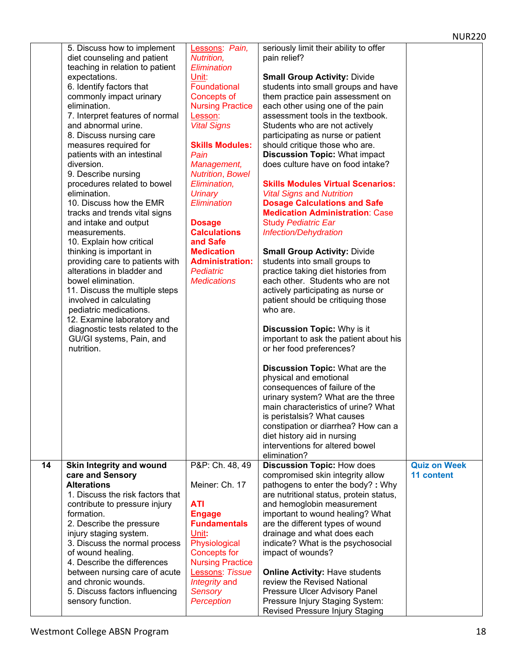|    | 5. Discuss how to implement      | Lessons: Pain,          | seriously limit their ability to offer   |                     |
|----|----------------------------------|-------------------------|------------------------------------------|---------------------|
|    | diet counseling and patient      | Nutrition,              | pain relief?                             |                     |
|    | teaching in relation to patient  | Elimination             |                                          |                     |
|    | expectations.                    | Unit:                   | <b>Small Group Activity: Divide</b>      |                     |
|    | 6. Identify factors that         | Foundational            | students into small groups and have      |                     |
|    | commonly impact urinary          | Concepts of             | them practice pain assessment on         |                     |
|    | elimination.                     | <b>Nursing Practice</b> | each other using one of the pain         |                     |
|    |                                  |                         |                                          |                     |
|    | 7. Interpret features of normal  | Lesson:                 | assessment tools in the textbook.        |                     |
|    | and abnormal urine.              | <b>Vital Signs</b>      | Students who are not actively            |                     |
|    | 8. Discuss nursing care          |                         | participating as nurse or patient        |                     |
|    | measures required for            | <b>Skills Modules:</b>  | should critique those who are.           |                     |
|    | patients with an intestinal      | Pain                    | <b>Discussion Topic: What impact</b>     |                     |
|    | diversion.                       | Management,             | does culture have on food intake?        |                     |
|    | 9. Describe nursing              | <b>Nutrition, Bowel</b> |                                          |                     |
|    | procedures related to bowel      | Elimination,            | <b>Skills Modules Virtual Scenarios:</b> |                     |
|    | elimination.                     | <b>Urinary</b>          | <b>Vital Signs and Nutrition</b>         |                     |
|    | 10. Discuss how the EMR          | Elimination             | <b>Dosage Calculations and Safe</b>      |                     |
|    |                                  |                         |                                          |                     |
|    | tracks and trends vital signs    |                         | <b>Medication Administration: Case</b>   |                     |
|    | and intake and output            | <b>Dosage</b>           | <b>Study Pediatric Ear</b>               |                     |
|    | measurements.                    | <b>Calculations</b>     | Infection/Dehydration                    |                     |
|    | 10. Explain how critical         | and Safe                |                                          |                     |
|    | thinking is important in         | <b>Medication</b>       | <b>Small Group Activity: Divide</b>      |                     |
|    | providing care to patients with  | <b>Administration:</b>  | students into small groups to            |                     |
|    | alterations in bladder and       | <b>Pediatric</b>        | practice taking diet histories from      |                     |
|    | bowel elimination.               | <b>Medications</b>      | each other. Students who are not         |                     |
|    | 11. Discuss the multiple steps   |                         | actively participating as nurse or       |                     |
|    | involved in calculating          |                         | patient should be critiquing those       |                     |
|    |                                  |                         | who are.                                 |                     |
|    | pediatric medications.           |                         |                                          |                     |
|    | 12. Examine laboratory and       |                         |                                          |                     |
|    | diagnostic tests related to the  |                         | <b>Discussion Topic: Why is it</b>       |                     |
|    | GU/GI systems, Pain, and         |                         | important to ask the patient about his   |                     |
|    | nutrition.                       |                         | or her food preferences?                 |                     |
|    |                                  |                         |                                          |                     |
|    |                                  |                         | <b>Discussion Topic: What are the</b>    |                     |
|    |                                  |                         | physical and emotional                   |                     |
|    |                                  |                         | consequences of failure of the           |                     |
|    |                                  |                         | urinary system? What are the three       |                     |
|    |                                  |                         | main characteristics of urine? What      |                     |
|    |                                  |                         | is peristalsis? What causes              |                     |
|    |                                  |                         | constipation or diarrhea? How can a      |                     |
|    |                                  |                         |                                          |                     |
|    |                                  |                         | diet history aid in nursing              |                     |
|    |                                  |                         | interventions for altered bowel          |                     |
|    |                                  |                         | elimination?                             |                     |
| 14 | Skin Integrity and wound         | P&P: Ch. 48, 49         | <b>Discussion Topic: How does</b>        | <b>Quiz on Week</b> |
|    | care and Sensory                 |                         | compromised skin integrity allow         | <b>11 content</b>   |
|    | <b>Alterations</b>               | Meiner: Ch. 17          | pathogens to enter the body? : Why       |                     |
|    | 1. Discuss the risk factors that |                         | are nutritional status, protein status,  |                     |
|    | contribute to pressure injury    | <b>ATI</b>              | and hemoglobin measurement               |                     |
|    | formation.                       | <b>Engage</b>           | important to wound healing? What         |                     |
|    | 2. Describe the pressure         | <b>Fundamentals</b>     | are the different types of wound         |                     |
|    | injury staging system.           | Unit:                   | drainage and what does each              |                     |
|    | 3. Discuss the normal process    | Physiological           |                                          |                     |
|    |                                  |                         | indicate? What is the psychosocial       |                     |
|    | of wound healing.                | <b>Concepts for</b>     | impact of wounds?                        |                     |
|    | 4. Describe the differences      | <b>Nursing Practice</b> |                                          |                     |
|    | between nursing care of acute    | Lessons: Tissue         | <b>Online Activity: Have students</b>    |                     |
|    | and chronic wounds.              | Integrity and           | review the Revised National              |                     |
|    | 5. Discuss factors influencing   | <b>Sensory</b>          | Pressure Ulcer Advisory Panel            |                     |
|    | sensory function.                | Perception              | Pressure Injury Staging System:          |                     |
|    |                                  |                         | Revised Pressure Injury Staging          |                     |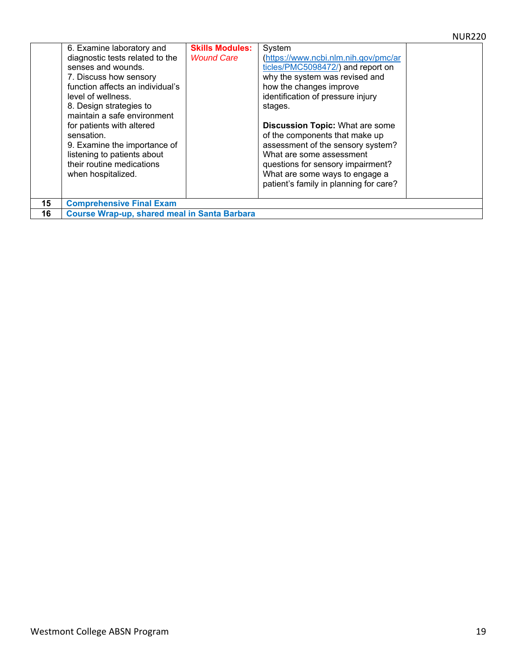|    | 6. Examine laboratory and<br>diagnostic tests related to the<br>senses and wounds.<br>7. Discuss how sensory<br>function affects an individual's<br>level of wellness.<br>8. Design strategies to<br>maintain a safe environment<br>for patients with altered<br>sensation.<br>9. Examine the importance of<br>listening to patients about<br>their routine medications<br>when hospitalized. | <b>Skills Modules:</b><br><b>Wound Care</b> | System<br>(https://www.ncbi.nlm.nih.gov/pmc/ar<br>ticles/PMC5098472/) and report on<br>why the system was revised and<br>how the changes improve<br>identification of pressure injury<br>stages.<br><b>Discussion Topic: What are some</b><br>of the components that make up<br>assessment of the sensory system?<br>What are some assessment<br>questions for sensory impairment?<br>What are some ways to engage a<br>patient's family in planning for care? |  |  |
|----|-----------------------------------------------------------------------------------------------------------------------------------------------------------------------------------------------------------------------------------------------------------------------------------------------------------------------------------------------------------------------------------------------|---------------------------------------------|----------------------------------------------------------------------------------------------------------------------------------------------------------------------------------------------------------------------------------------------------------------------------------------------------------------------------------------------------------------------------------------------------------------------------------------------------------------|--|--|
| 15 | <b>Comprehensive Final Exam</b>                                                                                                                                                                                                                                                                                                                                                               |                                             |                                                                                                                                                                                                                                                                                                                                                                                                                                                                |  |  |
| 16 | Course Wrap-up, shared meal in Santa Barbara                                                                                                                                                                                                                                                                                                                                                  |                                             |                                                                                                                                                                                                                                                                                                                                                                                                                                                                |  |  |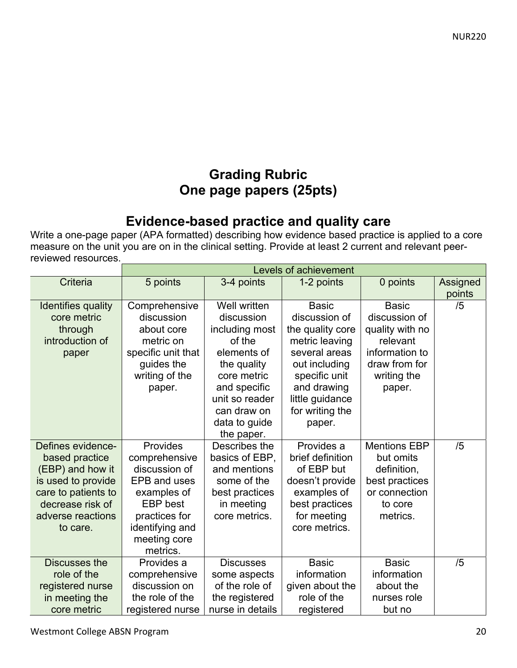## **Grading Rubric One page papers (25pts)**

## **Evidence-based practice and quality care**

Write a one-page paper (APA formatted) describing how evidence based practice is applied to a core measure on the unit you are on in the clinical setting. Provide at least 2 current and relevant peerreviewed resources.

|                      | <b>Levels of achievement</b> |                     |                  |                 |          |
|----------------------|------------------------------|---------------------|------------------|-----------------|----------|
| <b>Criteria</b>      | 5 points                     | 3-4 points          | 1-2 points       | 0 points        | Assigned |
|                      |                              |                     |                  |                 | points   |
| Identifies quality   | Comprehensive                | <b>Well written</b> | <b>Basic</b>     | <b>Basic</b>    | /5       |
| core metric          | discussion                   | discussion          | discussion of    | discussion of   |          |
| through              | about core                   | including most      | the quality core | quality with no |          |
| introduction of      | metric on                    | of the              | metric leaving   | relevant        |          |
| paper                | specific unit that           | elements of         | several areas    | information to  |          |
|                      | guides the                   | the quality         | out including    | draw from for   |          |
|                      | writing of the               | core metric         | specific unit    | writing the     |          |
|                      | paper.                       | and specific        | and drawing      | paper.          |          |
|                      |                              | unit so reader      | little guidance  |                 |          |
|                      |                              | can draw on         | for writing the  |                 |          |
|                      |                              | data to guide       | paper.           |                 |          |
|                      |                              | the paper.          |                  |                 |          |
| Defines evidence-    | Provides                     | Describes the       | Provides a       | Mentions EBP    | /5       |
| based practice       | comprehensive                | basics of EBP,      | brief definition | but omits       |          |
| (EBP) and how it     | discussion of                | and mentions        | of EBP but       | definition,     |          |
| is used to provide   | <b>EPB and uses</b>          | some of the         | doesn't provide  | best practices  |          |
| care to patients to  | examples of                  | best practices      | examples of      | or connection   |          |
| decrease risk of     | <b>EBP</b> best              | in meeting          | best practices   | to core         |          |
| adverse reactions    | practices for                | core metrics.       | for meeting      | metrics.        |          |
| to care.             | identifying and              |                     | core metrics.    |                 |          |
|                      | meeting core                 |                     |                  |                 |          |
|                      | metrics.                     |                     |                  |                 |          |
| <b>Discusses the</b> | Provides a                   | <b>Discusses</b>    | <b>Basic</b>     | <b>Basic</b>    | /5       |
| role of the          | comprehensive                | some aspects        | information      | information     |          |
| registered nurse     | discussion on                | of the role of      | given about the  | about the       |          |
| in meeting the       | the role of the              | the registered      | role of the      | nurses role     |          |
| core metric          | registered nurse             | nurse in details    | registered       | but no          |          |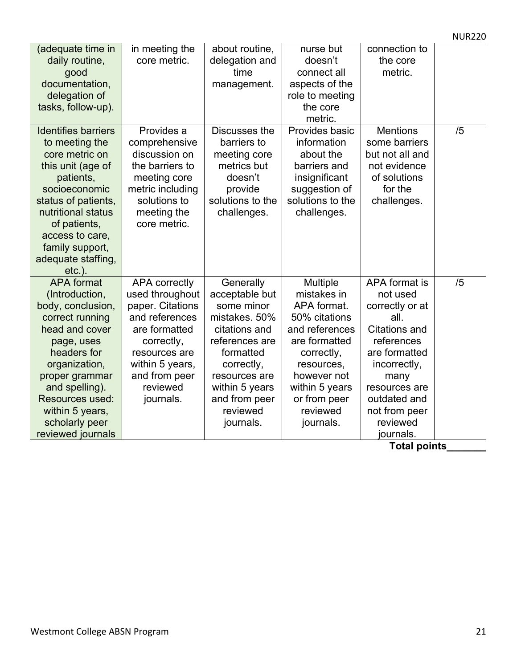|                                                                                                                                                                                                                                                              |                                                                                                                                                                                            |                                                                                                                                                                                                       |                                                                                                                                                                                                  |                                                                                                                                                                                                                | <b>NUR220</b> |
|--------------------------------------------------------------------------------------------------------------------------------------------------------------------------------------------------------------------------------------------------------------|--------------------------------------------------------------------------------------------------------------------------------------------------------------------------------------------|-------------------------------------------------------------------------------------------------------------------------------------------------------------------------------------------------------|--------------------------------------------------------------------------------------------------------------------------------------------------------------------------------------------------|----------------------------------------------------------------------------------------------------------------------------------------------------------------------------------------------------------------|---------------|
| (adequate time in<br>daily routine,<br>good<br>documentation,<br>delegation of<br>tasks, follow-up).                                                                                                                                                         | in meeting the<br>core metric.                                                                                                                                                             | about routine,<br>delegation and<br>time<br>management.                                                                                                                                               | nurse but<br>doesn't<br>connect all<br>aspects of the<br>role to meeting<br>the core<br>metric.                                                                                                  | connection to<br>the core<br>metric.                                                                                                                                                                           |               |
| <b>Identifies barriers</b><br>to meeting the<br>core metric on<br>this unit (age of<br>patients,<br>socioeconomic<br>status of patients,<br>nutritional status<br>of patients,<br>access to care,<br>family support,<br>adequate staffing,<br>$etc.$ ).      | Provides a<br>comprehensive<br>discussion on<br>the barriers to<br>meeting core<br>metric including<br>solutions to<br>meeting the<br>core metric.                                         | Discusses the<br>barriers to<br>meeting core<br>metrics but<br>doesn't<br>provide<br>solutions to the<br>challenges.                                                                                  | Provides basic<br>information<br>about the<br>barriers and<br>insignificant<br>suggestion of<br>solutions to the<br>challenges.                                                                  | <b>Mentions</b><br>some barriers<br>but not all and<br>not evidence<br>of solutions<br>for the<br>challenges.                                                                                                  | /5            |
| <b>APA</b> format<br>(Introduction,<br>body, conclusion,<br>correct running<br>head and cover<br>page, uses<br>headers for<br>organization,<br>proper grammar<br>and spelling).<br>Resources used:<br>within 5 years,<br>scholarly peer<br>reviewed journals | <b>APA correctly</b><br>used throughout<br>paper. Citations<br>and references<br>are formatted<br>correctly,<br>resources are<br>within 5 years,<br>and from peer<br>reviewed<br>journals. | Generally<br>acceptable but<br>some minor<br>mistakes. 50%<br>citations and<br>references are<br>formatted<br>correctly,<br>resources are<br>within 5 years<br>and from peer<br>reviewed<br>journals. | Multiple<br>mistakes in<br>APA format.<br>50% citations<br>and references<br>are formatted<br>correctly,<br>resources,<br>however not<br>within 5 years<br>or from peer<br>reviewed<br>journals. | APA format is<br>not used<br>correctly or at<br>all.<br><b>Citations and</b><br>references<br>are formatted<br>incorrectly,<br>many<br>resources are<br>outdated and<br>not from peer<br>reviewed<br>journals. | /5            |

**Total points\_\_\_\_\_\_\_**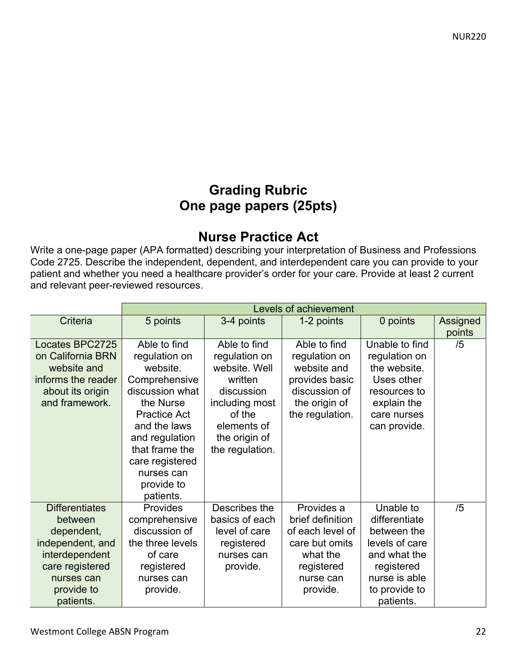## **Grading Rubric One page papers (25pts)**

## **Nurse Practice Act**

Write a one-page paper (APA formatted) describing your interpretation of Business and Professions Code 2725. Describe the independent, dependent, and interdependent care you can provide to your patient and whether you need a healthcare provider's order for your care. Provide at least 2 current and relevant peer-reviewed resources.

|                       | Levels of achievement |                 |                  |                |          |
|-----------------------|-----------------------|-----------------|------------------|----------------|----------|
| Criteria              | 5 points              | 3-4 points      | 1-2 points       | 0 points       | Assigned |
|                       |                       |                 |                  |                | points   |
| Locates BPC2725       | Able to find          | Able to find    | Able to find     | Unable to find | /5       |
| on California BRN     | regulation on         | regulation on   | regulation on    | regulation on  |          |
| website and           | website.              | website. Well   | website and      | the website.   |          |
| informs the reader    | Comprehensive         | written         | provides basic   | Uses other     |          |
| about its origin      | discussion what       | discussion      | discussion of    | resources to   |          |
| and framework.        | the Nurse             | including most  | the origin of    | explain the    |          |
|                       | <b>Practice Act</b>   | of the          | the regulation.  | care nurses    |          |
|                       | and the laws          | elements of     |                  | can provide.   |          |
|                       | and regulation        | the origin of   |                  |                |          |
|                       | that frame the        | the regulation. |                  |                |          |
|                       | care registered       |                 |                  |                |          |
|                       | nurses can            |                 |                  |                |          |
|                       | provide to            |                 |                  |                |          |
|                       | patients.             |                 |                  |                |          |
| <b>Differentiates</b> | <b>Provides</b>       | Describes the   | Provides a       | Unable to      | /5       |
| between               | comprehensive         | basics of each  | brief definition | differentiate  |          |
| dependent,            | discussion of         | level of care   | of each level of | between the    |          |
| independent, and      | the three levels      | registered      | care but omits   | levels of care |          |
| interdependent        | of care               | nurses can      | what the         | and what the   |          |
| care registered       | registered            | provide.        | registered       | registered     |          |
| nurses can            | nurses can            |                 | nurse can        | nurse is able  |          |
| provide to            | provide.              |                 | provide.         | to provide to  |          |
| patients.             |                       |                 |                  | patients.      |          |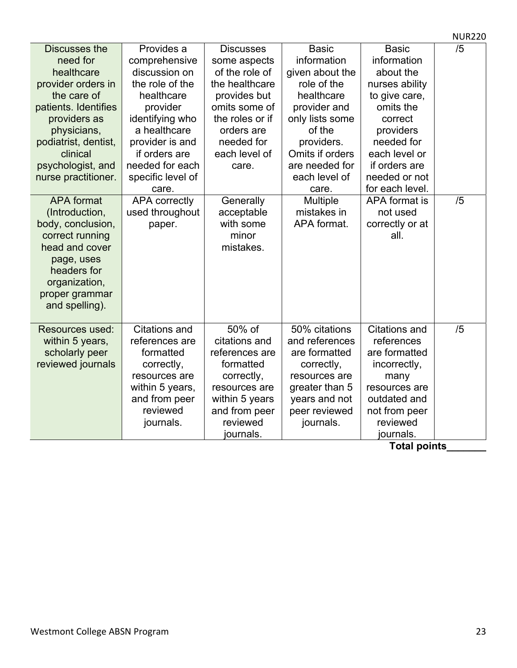|                                                                                                                                                                                                                                          |                                                                                                                                                                                                                                           |                                                                                                                                                                                             |                                                                                                                                                                                                                   |                                                                                                                                                                                                                       | <b>NUR220</b> |
|------------------------------------------------------------------------------------------------------------------------------------------------------------------------------------------------------------------------------------------|-------------------------------------------------------------------------------------------------------------------------------------------------------------------------------------------------------------------------------------------|---------------------------------------------------------------------------------------------------------------------------------------------------------------------------------------------|-------------------------------------------------------------------------------------------------------------------------------------------------------------------------------------------------------------------|-----------------------------------------------------------------------------------------------------------------------------------------------------------------------------------------------------------------------|---------------|
| Discusses the<br>need for<br>healthcare<br>provider orders in<br>the care of<br>patients. Identifies<br>providers as<br>physicians,<br>podiatrist, dentist,<br>clinical<br>psychologist, and<br>nurse practitioner.<br><b>APA</b> format | Provides a<br>comprehensive<br>discussion on<br>the role of the<br>healthcare<br>provider<br>identifying who<br>a healthcare<br>provider is and<br>if orders are<br>needed for each<br>specific level of<br>care.<br><b>APA correctly</b> | <b>Discusses</b><br>some aspects<br>of the role of<br>the healthcare<br>provides but<br>omits some of<br>the roles or if<br>orders are<br>needed for<br>each level of<br>care.<br>Generally | <b>Basic</b><br>information<br>given about the<br>role of the<br>healthcare<br>provider and<br>only lists some<br>of the<br>providers.<br>Omits if orders<br>are needed for<br>each level of<br>care.<br>Multiple | <b>Basic</b><br>information<br>about the<br>nurses ability<br>to give care,<br>omits the<br>correct<br>providers<br>needed for<br>each level or<br>if orders are<br>needed or not<br>for each level.<br>APA format is | /5<br>/5      |
| (Introduction,<br>body, conclusion,<br>correct running<br>head and cover<br>page, uses<br>headers for<br>organization,<br>proper grammar<br>and spelling).                                                                               | used throughout<br>paper.                                                                                                                                                                                                                 | acceptable<br>with some<br>minor<br>mistakes.                                                                                                                                               | mistakes in<br>APA format.                                                                                                                                                                                        | not used<br>correctly or at<br>all.                                                                                                                                                                                   |               |
| <b>Resources used:</b><br>within 5 years,<br>scholarly peer<br>reviewed journals                                                                                                                                                         | <b>Citations and</b><br>references are<br>formatted<br>correctly,<br>resources are<br>within 5 years,<br>and from peer<br>reviewed<br>journals.                                                                                           | 50% of<br>citations and<br>references are<br>formatted<br>correctly,<br>resources are<br>within 5 years<br>and from peer<br>reviewed<br>journals.                                           | 50% citations<br>and references<br>are formatted<br>correctly,<br>resources are<br>greater than 5<br>years and not<br>peer reviewed<br>journals.                                                                  | <b>Citations and</b><br>references<br>are formatted<br>incorrectly,<br>many<br>resources are<br>outdated and<br>not from peer<br>reviewed<br>journals.                                                                | /5            |

**Total points\_\_\_\_\_\_\_**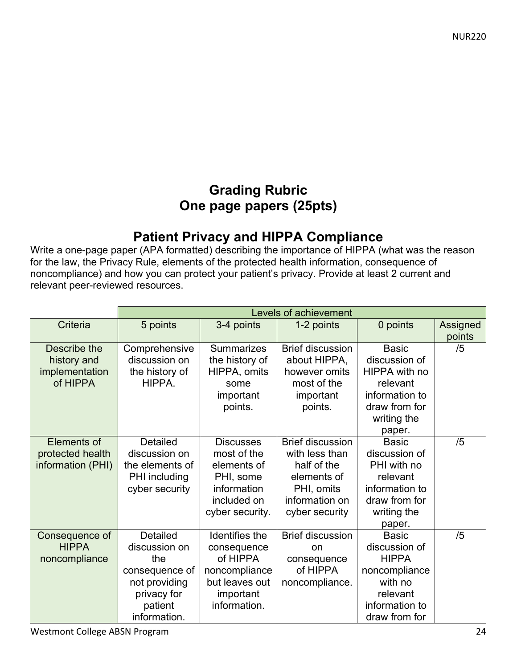## **Grading Rubric One page papers (25pts)**

## **Patient Privacy and HIPPA Compliance**

Write a one-page paper (APA formatted) describing the importance of HIPPA (what was the reason for the law, the Privacy Rule, elements of the protected health information, consequence of noncompliance) and how you can protect your patient's privacy. Provide at least 2 current and relevant peer-reviewed resources.

|                   | Levels of achievement |                   |                         |                |                 |
|-------------------|-----------------------|-------------------|-------------------------|----------------|-----------------|
| Criteria          | 5 points              | 3-4 points        | 1-2 points              | 0 points       | <b>Assigned</b> |
|                   |                       |                   |                         |                | points          |
| Describe the      | Comprehensive         | <b>Summarizes</b> | <b>Brief discussion</b> | <b>Basic</b>   | /5              |
| history and       | discussion on         | the history of    | about HIPPA,            | discussion of  |                 |
| implementation    | the history of        | HIPPA, omits      | however omits           | HIPPA with no  |                 |
| of HIPPA          | HIPPA.                | some              | most of the             | relevant       |                 |
|                   |                       | important         | important               | information to |                 |
|                   |                       | points.           | points.                 | draw from for  |                 |
|                   |                       |                   |                         | writing the    |                 |
|                   |                       |                   |                         | paper.         |                 |
| Elements of       | <b>Detailed</b>       | <b>Discusses</b>  | <b>Brief discussion</b> | <b>Basic</b>   | /5              |
| protected health  | discussion on         | most of the       | with less than          | discussion of  |                 |
| information (PHI) | the elements of       | elements of       | half of the             | PHI with no    |                 |
|                   | PHI including         | PHI, some         | elements of             | relevant       |                 |
|                   | cyber security        | information       | PHI, omits              | information to |                 |
|                   |                       | included on       | information on          | draw from for  |                 |
|                   |                       | cyber security.   | cyber security          | writing the    |                 |
|                   |                       |                   |                         | paper.         |                 |
| Consequence of    | Detailed              | Identifies the    | <b>Brief discussion</b> | <b>Basic</b>   | /5              |
| <b>HIPPA</b>      | discussion on         | consequence       | <sub>on</sub>           | discussion of  |                 |
| noncompliance     | the                   | of HIPPA          | consequence             | <b>HIPPA</b>   |                 |
|                   | consequence of        | noncompliance     | of HIPPA                | noncompliance  |                 |
|                   | not providing         | but leaves out    | noncompliance.          | with no        |                 |
|                   | privacy for           | important         |                         | relevant       |                 |
|                   | patient               | information.      |                         | information to |                 |
|                   | information.          |                   |                         | draw from for  |                 |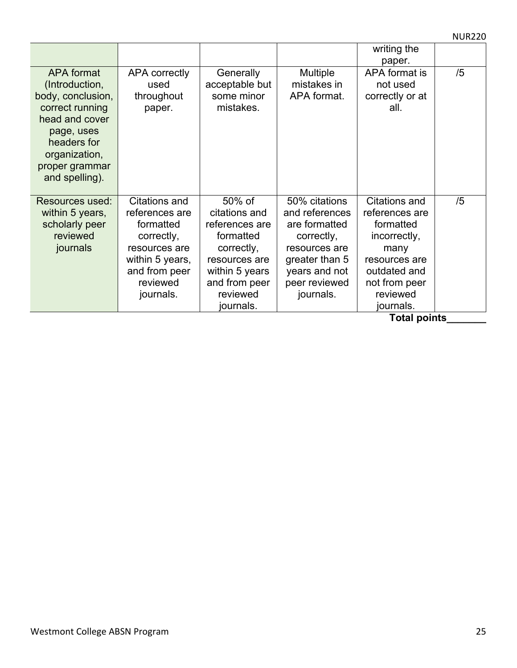NUR220

|                   |                 |                |                | writing the     |    |
|-------------------|-----------------|----------------|----------------|-----------------|----|
|                   |                 |                |                | paper.          |    |
| <b>APA</b> format | APA correctly   | Generally      | Multiple       | APA format is   | /5 |
| (Introduction,    | used            | acceptable but | mistakes in    | not used        |    |
| body, conclusion, | throughout      | some minor     | APA format.    | correctly or at |    |
|                   |                 |                |                |                 |    |
| correct running   | paper.          | mistakes.      |                | all.            |    |
| head and cover    |                 |                |                |                 |    |
| page, uses        |                 |                |                |                 |    |
| headers for       |                 |                |                |                 |    |
| organization,     |                 |                |                |                 |    |
| proper grammar    |                 |                |                |                 |    |
|                   |                 |                |                |                 |    |
| and spelling).    |                 |                |                |                 |    |
|                   |                 |                |                |                 |    |
| Resources used:   | Citations and   | 50% of         | 50% citations  | Citations and   | /5 |
| within 5 years,   | references are  | citations and  | and references | references are  |    |
| scholarly peer    | formatted       | references are | are formatted  | formatted       |    |
| reviewed          | correctly,      | formatted      | correctly,     | incorrectly,    |    |
| journals          | resources are   | correctly,     | resources are  | many            |    |
|                   | within 5 years, | resources are  | greater than 5 | resources are   |    |
|                   | and from peer   | within 5 years | years and not  | outdated and    |    |
|                   | reviewed        | and from peer  | peer reviewed  | not from peer   |    |
|                   |                 |                |                |                 |    |
|                   | journals.       | reviewed       | journals.      | reviewed        |    |
|                   |                 | journals.      |                | journals.       |    |

**Total points\_\_\_\_\_\_\_**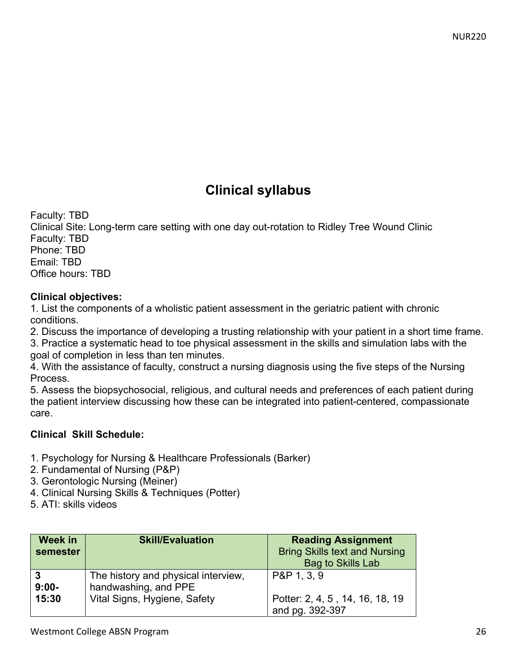## **Clinical syllabus**

Faculty: TBD Clinical Site: Long-term care setting with one day out-rotation to Ridley Tree Wound Clinic Faculty: TBD Phone: TBD Email: TBD Office hours: TBD

#### **Clinical objectives:**

1. List the components of a wholistic patient assessment in the geriatric patient with chronic conditions.

2. Discuss the importance of developing a trusting relationship with your patient in a short time frame.

3. Practice a systematic head to toe physical assessment in the skills and simulation labs with the goal of completion in less than ten minutes.

4. With the assistance of faculty, construct a nursing diagnosis using the five steps of the Nursing Process.

5. Assess the biopsychosocial, religious, and cultural needs and preferences of each patient during the patient interview discussing how these can be integrated into patient-centered, compassionate care.

#### **Clinical Skill Schedule:**

- 1. Psychology for Nursing & Healthcare Professionals (Barker)
- 2. Fundamental of Nursing (P&P)
- 3. Gerontologic Nursing (Meiner)
- 4. Clinical Nursing Skills & Techniques (Potter)
- 5. ATI: skills videos

| Week in<br>semester | <b>Skill/Evaluation</b>                                     | <b>Reading Assignment</b><br><b>Bring Skills text and Nursing</b><br><b>Bag to Skills Lab</b> |
|---------------------|-------------------------------------------------------------|-----------------------------------------------------------------------------------------------|
| $9:00-$             | The history and physical interview,<br>handwashing, and PPE | P&P 1, 3, 9                                                                                   |
| 15:30               | Vital Signs, Hygiene, Safety                                | Potter: 2, 4, 5, 14, 16, 18, 19<br>and pg. 392-397                                            |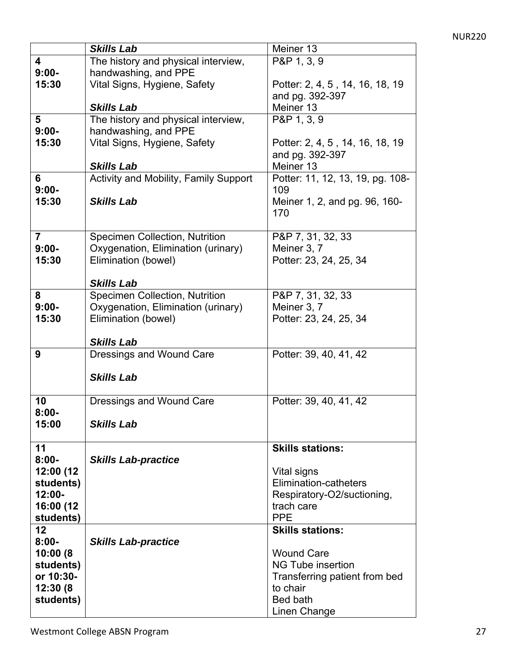|                | <b>Skills Lab</b>                     | Meiner 13                        |
|----------------|---------------------------------------|----------------------------------|
| 4              | The history and physical interview,   | P&P 1, 3, 9                      |
| $9:00-$        | handwashing, and PPE                  |                                  |
| 15:30          | Vital Signs, Hygiene, Safety          | Potter: 2, 4, 5, 14, 16, 18, 19  |
|                |                                       | and pg. 392-397                  |
|                | <b>Skills Lab</b>                     | Meiner 13                        |
| 5              | The history and physical interview,   | P&P 1, 3, 9                      |
| $9:00-$        | handwashing, and PPE                  |                                  |
| 15:30          | Vital Signs, Hygiene, Safety          | Potter: 2, 4, 5, 14, 16, 18, 19  |
|                |                                       | and pg. 392-397                  |
|                | <b>Skills Lab</b>                     | Meiner 13                        |
| 6              | Activity and Mobility, Family Support | Potter: 11, 12, 13, 19, pg. 108- |
| $9:00-$        |                                       | 109                              |
| 15:30          | <b>Skills Lab</b>                     | Meiner 1, 2, and pg. 96, 160-    |
|                |                                       | 170                              |
|                |                                       |                                  |
| $\overline{7}$ | <b>Specimen Collection, Nutrition</b> | P&P 7, 31, 32, 33                |
| $9:00-$        | Oxygenation, Elimination (urinary)    | Meiner 3, 7                      |
| 15:30          | Elimination (bowel)                   | Potter: 23, 24, 25, 34           |
|                |                                       |                                  |
|                | <b>Skills Lab</b>                     |                                  |
| 8              | <b>Specimen Collection, Nutrition</b> | P&P 7, 31, 32, 33                |
| $9:00-$        | Oxygenation, Elimination (urinary)    | Meiner 3, 7                      |
| 15:30          | Elimination (bowel)                   | Potter: 23, 24, 25, 34           |
|                |                                       |                                  |
|                | <b>Skills Lab</b>                     |                                  |
| 9              | Dressings and Wound Care              | Potter: 39, 40, 41, 42           |
|                |                                       |                                  |
|                | <b>Skills Lab</b>                     |                                  |
|                |                                       |                                  |
| 10             | <b>Dressings and Wound Care</b>       | Potter: 39, 40, 41, 42           |
| $8:00 -$       |                                       |                                  |
| 15:00          | <b>Skills Lab</b>                     |                                  |
|                |                                       |                                  |
| 11             |                                       | <b>Skills stations:</b>          |
| $8:00 -$       | <b>Skills Lab-practice</b>            |                                  |
| 12:00 (12      |                                       | Vital signs                      |
| students)      |                                       | <b>Elimination-catheters</b>     |
| $12:00 -$      |                                       | Respiratory-O2/suctioning,       |
| 16:00 (12      |                                       | trach care                       |
| students)      |                                       | <b>PPE</b>                       |
| 12             |                                       | <b>Skills stations:</b>          |
| $8:00 -$       | <b>Skills Lab-practice</b>            |                                  |
| 10:00(8)       |                                       | <b>Wound Care</b>                |
| students)      |                                       | <b>NG Tube insertion</b>         |
| or 10:30-      |                                       | Transferring patient from bed    |
| 12:30 (8       |                                       | to chair                         |
| students)      |                                       | Bed bath                         |
|                |                                       | Linen Change                     |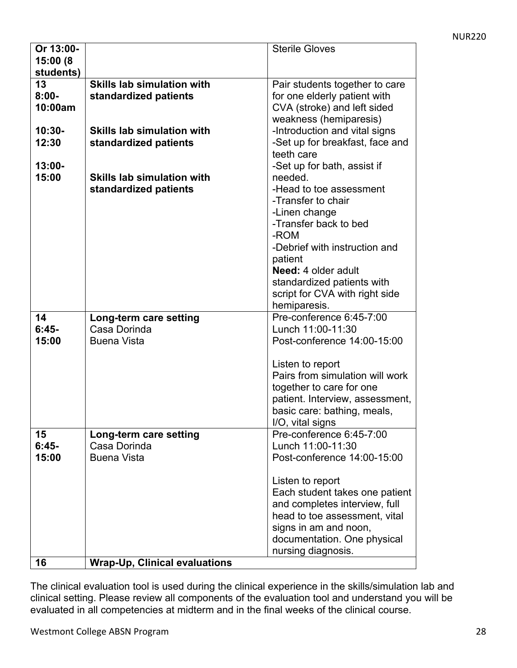| Or 13:00- |                                   | <b>Sterile Gloves</b>           |
|-----------|-----------------------------------|---------------------------------|
| 15:00 (8  |                                   |                                 |
| students) |                                   |                                 |
| 13        | <b>Skills lab simulation with</b> | Pair students together to care  |
| $8:00 -$  | standardized patients             | for one elderly patient with    |
| 10:00am   |                                   | CVA (stroke) and left sided     |
|           |                                   | weakness (hemiparesis)          |
| $10:30 -$ | <b>Skills lab simulation with</b> | -Introduction and vital signs   |
| 12:30     | standardized patients             |                                 |
|           |                                   | -Set up for breakfast, face and |
|           |                                   | teeth care                      |
| $13:00 -$ |                                   | -Set up for bath, assist if     |
| 15:00     | <b>Skills lab simulation with</b> | needed.                         |
|           | standardized patients             | -Head to toe assessment         |
|           |                                   | -Transfer to chair              |
|           |                                   | -Linen change                   |
|           |                                   | -Transfer back to bed           |
|           |                                   | -ROM                            |
|           |                                   | -Debrief with instruction and   |
|           |                                   | patient                         |
|           |                                   | <b>Need: 4 older adult</b>      |
|           |                                   | standardized patients with      |
|           |                                   | script for CVA with right side  |
|           |                                   | hemiparesis.                    |
| 14        | Long-term care setting            | Pre-conference 6:45-7:00        |
| $6:45-$   | Casa Dorinda                      | Lunch 11:00-11:30               |
| 15:00     | <b>Buena Vista</b>                | Post-conference 14:00-15:00     |
|           |                                   |                                 |
|           |                                   | Listen to report                |
|           |                                   | Pairs from simulation will work |
|           |                                   | together to care for one        |
|           |                                   | patient. Interview, assessment, |
|           |                                   | basic care: bathing, meals,     |
|           |                                   | I/O, vital signs                |
| 15        | Long-term care setting            | Pre-conference 6:45-7:00        |
| $6:45-$   | Casa Dorinda                      | Lunch 11:00-11:30               |
|           | <b>Buena Vista</b>                | Post-conference 14:00-15:00     |
| 15:00     |                                   |                                 |
|           |                                   |                                 |
|           |                                   | Listen to report                |
|           |                                   | Each student takes one patient  |
|           |                                   | and completes interview, full   |
|           |                                   | head to toe assessment, vital   |
|           |                                   | signs in am and noon,           |
|           |                                   | documentation. One physical     |
|           |                                   | nursing diagnosis.              |
|           |                                   |                                 |

The clinical evaluation tool is used during the clinical experience in the skills/simulation lab and clinical setting. Please review all components of the evaluation tool and understand you will be evaluated in all competencies at midterm and in the final weeks of the clinical course.